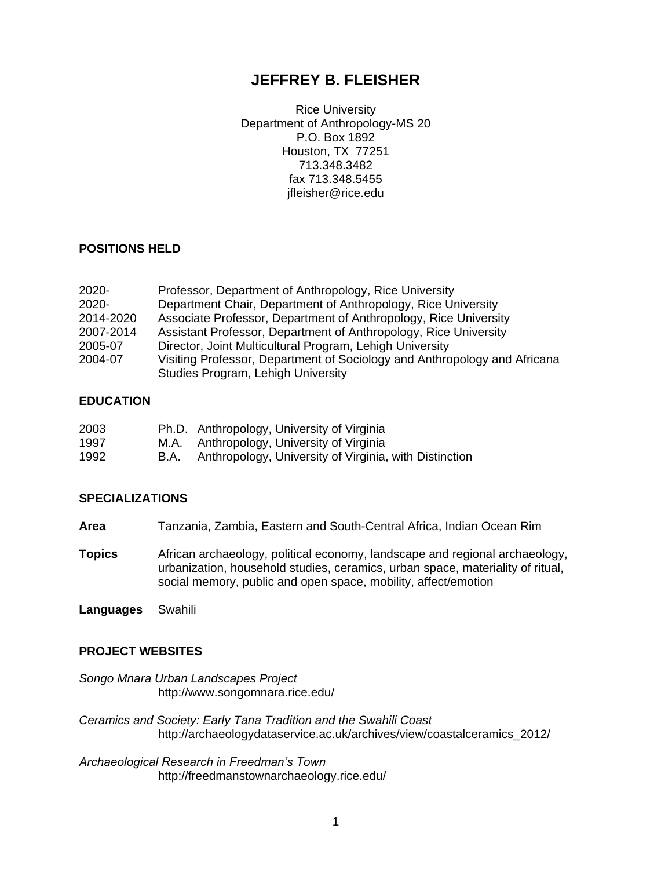# **JEFFREY B. FLEISHER**

Rice University Department of Anthropology-MS 20 P.O. Box 1892 Houston, TX 77251 713.348.3482 fax 713.348.5455 jfleisher@rice.edu

# **POSITIONS HELD**

| $2020 -$  | Professor, Department of Anthropology, Rice University                    |
|-----------|---------------------------------------------------------------------------|
| $2020 -$  | Department Chair, Department of Anthropology, Rice University             |
| 2014-2020 | Associate Professor, Department of Anthropology, Rice University          |
| 2007-2014 | Assistant Professor, Department of Anthropology, Rice University          |
| 2005-07   | Director, Joint Multicultural Program, Lehigh University                  |
| 2004-07   | Visiting Professor, Department of Sociology and Anthropology and Africana |
|           | Studies Program, Lehigh University                                        |

### **EDUCATION**

| 2003 |      | Ph.D. Anthropology, University of Virginia             |
|------|------|--------------------------------------------------------|
| 1997 |      | M.A. Anthropology, University of Virginia              |
| 1992 | B.A. | Anthropology, University of Virginia, with Distinction |

### **SPECIALIZATIONS**

- **Area** Tanzania, Zambia, Eastern and South-Central Africa, Indian Ocean Rim
- **Topics** African archaeology, political economy, landscape and regional archaeology, urbanization, household studies, ceramics, urban space, materiality of ritual, social memory, public and open space, mobility, affect/emotion

**Languages** Swahili

### **PROJECT WEBSITES**

*Songo Mnara Urban Landscapes Project* http://www.songomnara.rice.edu/

*Ceramics and Society: Early Tana Tradition and the Swahili Coast* http://archaeologydataservice.ac.uk/archives/view/coastalceramics\_2012/

*Archaeological Research in Freedman's Town* http://freedmanstownarchaeology.rice.edu/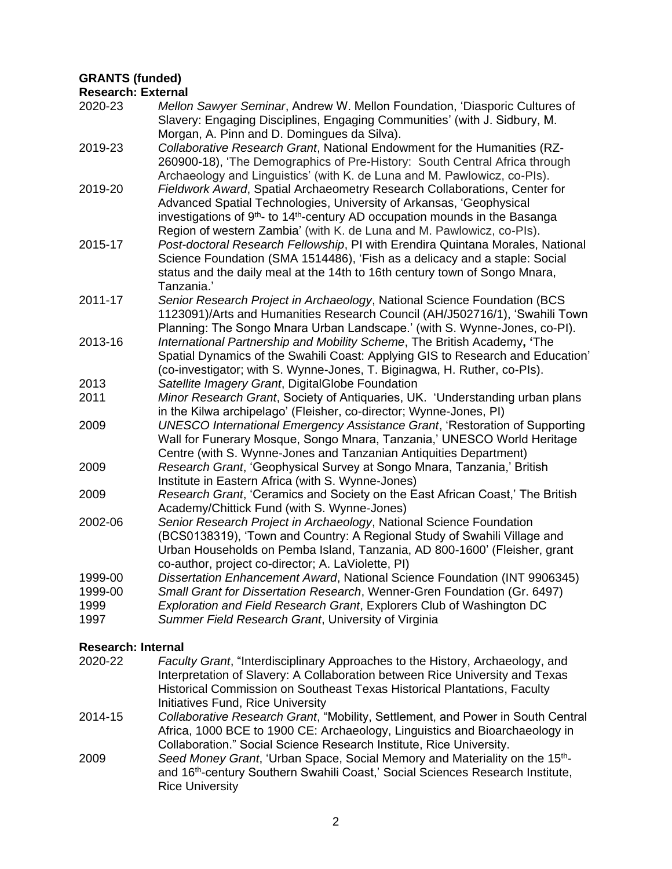# **GRANTS (funded)**

### **Research: External**

| 2020-23 | Mellon Sawyer Seminar, Andrew W. Mellon Foundation, 'Diasporic Cultures of<br>Slavery: Engaging Disciplines, Engaging Communities' (with J. Sidbury, M.                                                                                                                                                                           |
|---------|-----------------------------------------------------------------------------------------------------------------------------------------------------------------------------------------------------------------------------------------------------------------------------------------------------------------------------------|
| 2019-23 | Morgan, A. Pinn and D. Domingues da Silva).<br>Collaborative Research Grant, National Endowment for the Humanities (RZ-<br>260900-18), 'The Demographics of Pre-History: South Central Africa through<br>Archaeology and Linguistics' (with K. de Luna and M. Pawlowicz, co-Pls).                                                 |
| 2019-20 | Fieldwork Award, Spatial Archaeometry Research Collaborations, Center for<br>Advanced Spatial Technologies, University of Arkansas, 'Geophysical<br>investigations of 9 <sup>th</sup> - to 14 <sup>th</sup> -century AD occupation mounds in the Basanga<br>Region of western Zambia' (with K. de Luna and M. Pawlowicz, co-Pls). |
| 2015-17 | Post-doctoral Research Fellowship, PI with Erendira Quintana Morales, National<br>Science Foundation (SMA 1514486), 'Fish as a delicacy and a staple: Social<br>status and the daily meal at the 14th to 16th century town of Songo Mnara,<br>Tanzania.'                                                                          |
| 2011-17 | Senior Research Project in Archaeology, National Science Foundation (BCS<br>1123091)/Arts and Humanities Research Council (AH/J502716/1), 'Swahili Town<br>Planning: The Songo Mnara Urban Landscape.' (with S. Wynne-Jones, co-PI).                                                                                              |
| 2013-16 | International Partnership and Mobility Scheme, The British Academy, 'The<br>Spatial Dynamics of the Swahili Coast: Applying GIS to Research and Education'<br>(co-investigator; with S. Wynne-Jones, T. Biginagwa, H. Ruther, co-Pls).                                                                                            |
| 2013    | Satellite Imagery Grant, DigitalGlobe Foundation                                                                                                                                                                                                                                                                                  |
| 2011    | Minor Research Grant, Society of Antiquaries, UK. 'Understanding urban plans<br>in the Kilwa archipelago' (Fleisher, co-director; Wynne-Jones, PI)                                                                                                                                                                                |
| 2009    | <b>UNESCO International Emergency Assistance Grant, 'Restoration of Supporting</b><br>Wall for Funerary Mosque, Songo Mnara, Tanzania,' UNESCO World Heritage<br>Centre (with S. Wynne-Jones and Tanzanian Antiquities Department)                                                                                                |
| 2009    | Research Grant, 'Geophysical Survey at Songo Mnara, Tanzania,' British<br>Institute in Eastern Africa (with S. Wynne-Jones)                                                                                                                                                                                                       |
| 2009    | Research Grant, 'Ceramics and Society on the East African Coast,' The British<br>Academy/Chittick Fund (with S. Wynne-Jones)                                                                                                                                                                                                      |
| 2002-06 | Senior Research Project in Archaeology, National Science Foundation<br>(BCS0138319), 'Town and Country: A Regional Study of Swahili Village and<br>Urban Households on Pemba Island, Tanzania, AD 800-1600' (Fleisher, grant<br>co-author, project co-director; A. LaViolette, PI)                                                |
| 1999-00 | Dissertation Enhancement Award, National Science Foundation (INT 9906345)                                                                                                                                                                                                                                                         |
| 1999-00 | Small Grant for Dissertation Research, Wenner-Gren Foundation (Gr. 6497)                                                                                                                                                                                                                                                          |
| 1999    | Exploration and Field Research Grant, Explorers Club of Washington DC                                                                                                                                                                                                                                                             |
| 1997    | Summer Field Research Grant, University of Virginia                                                                                                                                                                                                                                                                               |
|         |                                                                                                                                                                                                                                                                                                                                   |

# **Research: Internal**

- 2020-22 *Faculty Grant*, "Interdisciplinary Approaches to the History, Archaeology, and Interpretation of Slavery: A Collaboration between Rice University and Texas Historical Commission on Southeast Texas Historical Plantations, Faculty Initiatives Fund, Rice University
- 2014-15 *Collaborative Research Grant*, "Mobility, Settlement, and Power in South Central Africa, 1000 BCE to 1900 CE: Archaeology, Linguistics and Bioarchaeology in Collaboration." Social Science Research Institute, Rice University.
- 2009 *Seed Money Grant*, 'Urban Space, Social Memory and Materiality on the 15thand 16<sup>th</sup>-century Southern Swahili Coast,' Social Sciences Research Institute, Rice University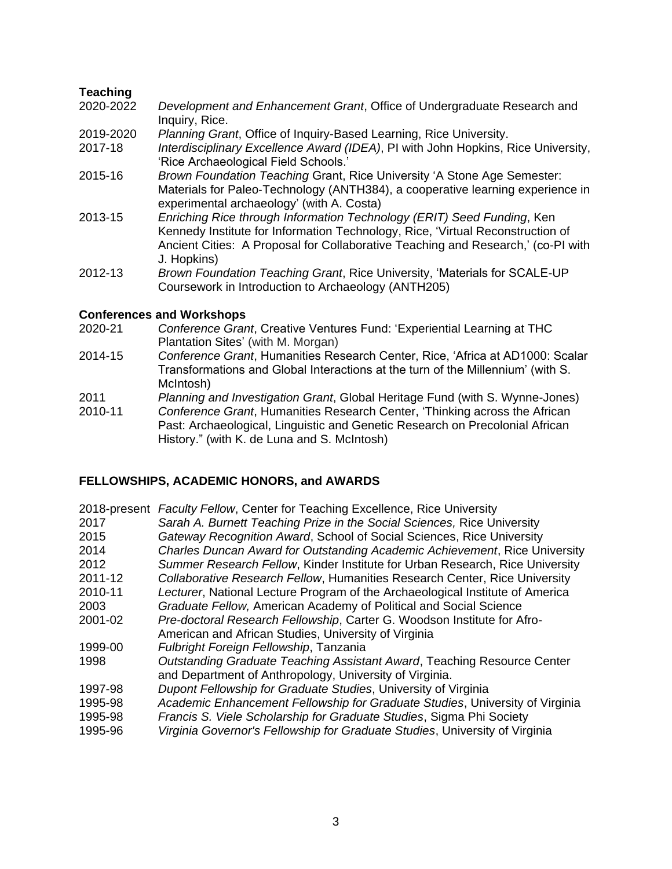# **Teaching**

- 2020-2022 *Development and Enhancement Grant*, Office of Undergraduate Research and Inquiry, Rice.
- 2019-2020 *Planning Grant*, Office of Inquiry-Based Learning, Rice University.
- 2017-18 *Interdisciplinary Excellence Award (IDEA)*, PI with John Hopkins, Rice University, 'Rice Archaeological Field Schools.'
- 2015-16 *Brown Foundation Teaching* Grant, Rice University 'A Stone Age Semester: Materials for Paleo‐Technology (ANTH384), a cooperative learning experience in experimental archaeology' (with A. Costa)
- 2013-15 *Enriching Rice through Information Technology (ERIT) Seed Funding*, Ken Kennedy Institute for Information Technology, Rice, 'Virtual Reconstruction of Ancient Cities: A Proposal for Collaborative Teaching and Research,' (co-PI with J. Hopkins)
- 2012-13 *Brown Foundation Teaching Grant*, Rice University, 'Materials for SCALE-UP Coursework in Introduction to Archaeology (ANTH205)

### **Conferences and Workshops**

- 2020-21 *Conference Grant*, Creative Ventures Fund: 'Experiential Learning at THC Plantation Sites' (with M. Morgan)
- 2014-15 *Conference Grant*, Humanities Research Center, Rice, 'Africa at AD1000: Scalar Transformations and Global Interactions at the turn of the Millennium' (with S. McIntosh)
- 2011 *Planning and Investigation Grant*, Global Heritage Fund (with S. Wynne-Jones)
- 2010-11 *Conference Grant*, Humanities Research Center, 'Thinking across the African Past: Archaeological, Linguistic and Genetic Research on Precolonial African History." (with K. de Luna and S. McIntosh)

# **FELLOWSHIPS, ACADEMIC HONORS, and AWARDS**

|         | 2018-present Faculty Fellow, Center for Teaching Excellence, Rice University  |
|---------|-------------------------------------------------------------------------------|
| 2017    | Sarah A. Burnett Teaching Prize in the Social Sciences, Rice University       |
| 2015    | Gateway Recognition Award, School of Social Sciences, Rice University         |
| 2014    | Charles Duncan Award for Outstanding Academic Achievement, Rice University    |
| 2012    | Summer Research Fellow, Kinder Institute for Urban Research, Rice University  |
| 2011-12 | Collaborative Research Fellow, Humanities Research Center, Rice University    |
| 2010-11 | Lecturer, National Lecture Program of the Archaeological Institute of America |
| 2003    | Graduate Fellow, American Academy of Political and Social Science             |
| 2001-02 | Pre-doctoral Research Fellowship, Carter G. Woodson Institute for Afro-       |
|         | American and African Studies, University of Virginia                          |
| 1999-00 | Fulbright Foreign Fellowship, Tanzania                                        |
| 1998    | Outstanding Graduate Teaching Assistant Award, Teaching Resource Center       |
|         | and Department of Anthropology, University of Virginia.                       |
| 1997-98 | Dupont Fellowship for Graduate Studies, University of Virginia                |
| 1995-98 | Academic Enhancement Fellowship for Graduate Studies, University of Virginia  |
| 1995-98 | Francis S. Viele Scholarship for Graduate Studies, Sigma Phi Society          |
| 1995-96 | Virginia Governor's Fellowship for Graduate Studies, University of Virginia   |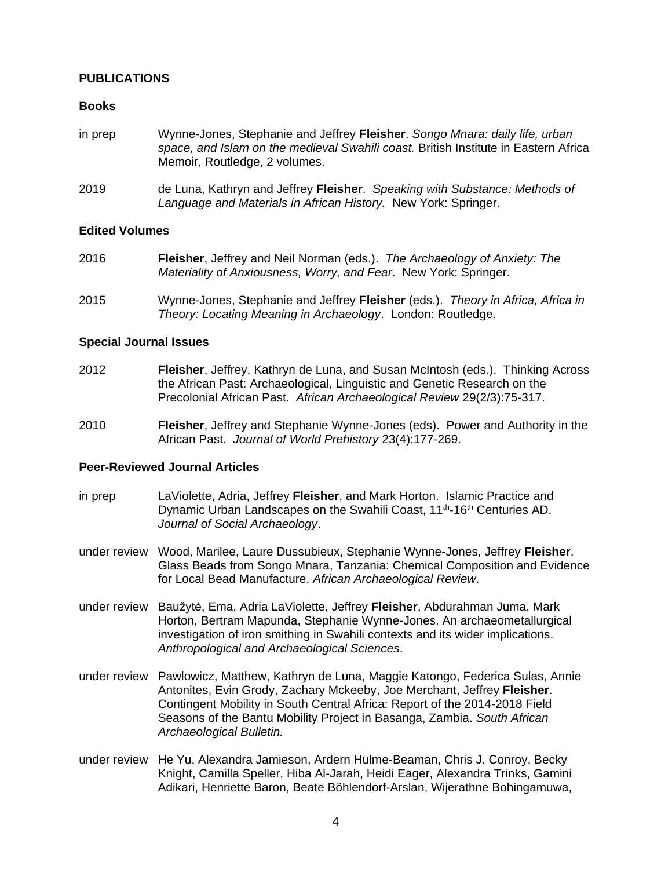# **PUBLICATIONS**

### **Books**

- in prep Wynne-Jones, Stephanie and Jeffrey **Fleisher**. *Songo Mnara: daily life, urban space, and Islam on the medieval Swahili coast.* British Institute in Eastern Africa Memoir, Routledge, 2 volumes.
- 2019 de Luna, Kathryn and Jeffrey **Fleisher**. *Speaking with Substance: Methods of Language and Materials in African History.* New York: Springer.

### **Edited Volumes**

- 2016 **Fleisher**, Jeffrey and Neil Norman (eds.). *The Archaeology of Anxiety: The Materiality of Anxiousness, Worry, and Fear*. New York: Springer.
- 2015 Wynne-Jones, Stephanie and Jeffrey **Fleisher** (eds.). *Theory in Africa, Africa in Theory: Locating Meaning in Archaeology*. London: Routledge.

### **Special Journal Issues**

- 2012 **Fleisher**, Jeffrey, Kathryn de Luna, and Susan McIntosh (eds.). Thinking Across the African Past: Archaeological, Linguistic and Genetic Research on the Precolonial African Past. *African Archaeological Review* 29(2/3):75-317.
- 2010 **Fleisher**, Jeffrey and Stephanie Wynne-Jones (eds). Power and Authority in the African Past. *Journal of World Prehistory* 23(4):177-269.

### **Peer-Reviewed Journal Articles**

- in prep LaViolette, Adria, Jeffrey **Fleisher**, and Mark Horton. Islamic Practice and Dynamic Urban Landscapes on the Swahili Coast, 11<sup>th</sup>-16<sup>th</sup> Centuries AD. *Journal of Social Archaeology*.
- under review Wood, Marilee, Laure Dussubieux, Stephanie Wynne-Jones, Jeffrey **Fleisher**. Glass Beads from Songo Mnara, Tanzania: Chemical Composition and Evidence for Local Bead Manufacture. *African Archaeological Review*.
- under review Baužytė, Ema, Adria LaViolette, Jeffrey **Fleisher**, Abdurahman Juma, Mark Horton, Bertram Mapunda, Stephanie Wynne-Jones. An archaeometallurgical investigation of iron smithing in Swahili contexts and its wider implications. *Anthropological and Archaeological Sciences*.
- under review Pawlowicz, Matthew, Kathryn de Luna, Maggie Katongo, Federica Sulas, Annie Antonites, Evin Grody, Zachary Mckeeby, Joe Merchant, Jeffrey **Fleisher**. Contingent Mobility in South Central Africa: Report of the 2014-2018 Field Seasons of the Bantu Mobility Project in Basanga, Zambia. *South African Archaeological Bulletin.*
- under review He Yu, Alexandra Jamieson, Ardern Hulme-Beaman, Chris J. Conroy, Becky Knight, Camilla Speller, Hiba Al-Jarah, Heidi Eager, Alexandra Trinks, Gamini Adikari, Henriette Baron, Beate Böhlendorf-Arslan, Wijerathne Bohingamuwa,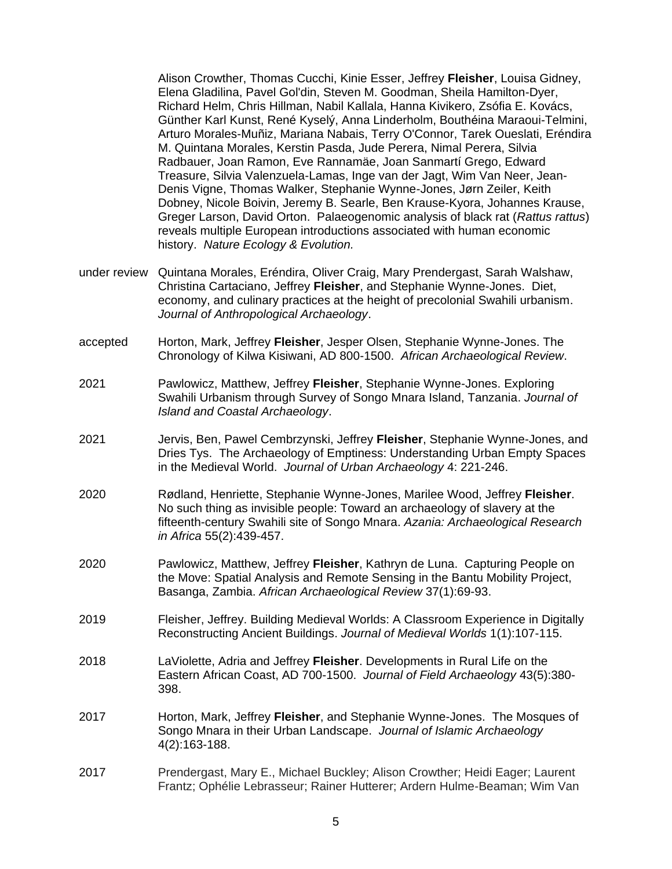Alison Crowther, Thomas Cucchi, Kinie Esser, Jeffrey **Fleisher**, Louisa Gidney, Elena Gladilina, Pavel Gol'din, Steven M. Goodman, Sheila Hamilton-Dyer, Richard Helm, Chris Hillman, Nabil Kallala, Hanna Kivikero, Zsófia E. Kovács, Günther Karl Kunst, René Kyselý, Anna Linderholm, Bouthéina Maraoui-Telmini, Arturo Morales-Muñiz, Mariana Nabais, Terry O'Connor, Tarek Oueslati, Eréndira M. Quintana Morales, Kerstin Pasda, Jude Perera, Nimal Perera, Silvia Radbauer, Joan Ramon, Eve Rannamäe, Joan Sanmartí Grego, Edward Treasure, Silvia Valenzuela-Lamas, Inge van der Jagt, Wim Van Neer, Jean-Denis Vigne, Thomas Walker, Stephanie Wynne-Jones, Jørn Zeiler, Keith Dobney, Nicole Boivin, Jeremy B. Searle, Ben Krause-Kyora, Johannes Krause, Greger Larson, David Orton. Palaeogenomic analysis of black rat (*Rattus rattus*) reveals multiple European introductions associated with human economic history. *Nature Ecology & Evolution.*

- under review Quintana Morales, Eréndira, Oliver Craig, Mary Prendergast, Sarah Walshaw, Christina Cartaciano, Jeffrey **Fleisher**, and Stephanie Wynne-Jones. Diet, economy, and culinary practices at the height of precolonial Swahili urbanism. *Journal of Anthropological Archaeology*.
- accepted Horton, Mark, Jeffrey **Fleisher**, Jesper Olsen, Stephanie Wynne-Jones. The Chronology of Kilwa Kisiwani, AD 800-1500. *African Archaeological Review*.
- 2021 Pawlowicz, Matthew, Jeffrey **Fleisher**, Stephanie Wynne-Jones. Exploring Swahili Urbanism through Survey of Songo Mnara Island, Tanzania. *Journal of Island and Coastal Archaeology*.
- 2021 Jervis, Ben, Pawel Cembrzynski, Jeffrey **Fleisher**, Stephanie Wynne-Jones, and Dries Tys. The Archaeology of Emptiness: Understanding Urban Empty Spaces in the Medieval World. *Journal of Urban Archaeology* 4: 221-246.
- 2020 Rødland, Henriette, Stephanie Wynne-Jones, Marilee Wood, Jeffrey **Fleisher**. No such thing as invisible people: Toward an archaeology of slavery at the fifteenth-century Swahili site of Songo Mnara. *Azania: Archaeological Research in Africa* 55(2):439-457.
- 2020 Pawlowicz, Matthew, Jeffrey **Fleisher**, Kathryn de Luna. Capturing People on the Move: Spatial Analysis and Remote Sensing in the Bantu Mobility Project, Basanga, Zambia. *African Archaeological Review* 37(1):69-93.
- 2019 Fleisher, Jeffrey. Building Medieval Worlds: A Classroom Experience in Digitally Reconstructing Ancient Buildings. *Journal of Medieval Worlds* 1(1):107-115.
- 2018 LaViolette, Adria and Jeffrey **Fleisher**. Developments in Rural Life on the Eastern African Coast, AD 700-1500. *Journal of Field Archaeology* 43(5):380- 398.
- 2017 Horton, Mark, Jeffrey **Fleisher**, and Stephanie Wynne-Jones. The Mosques of Songo Mnara in their Urban Landscape. *Journal of Islamic Archaeology* 4(2):163-188.
- 2017 Prendergast, Mary E., Michael Buckley; Alison Crowther; Heidi Eager; Laurent Frantz; Ophélie Lebrasseur; Rainer Hutterer; Ardern Hulme-Beaman; Wim Van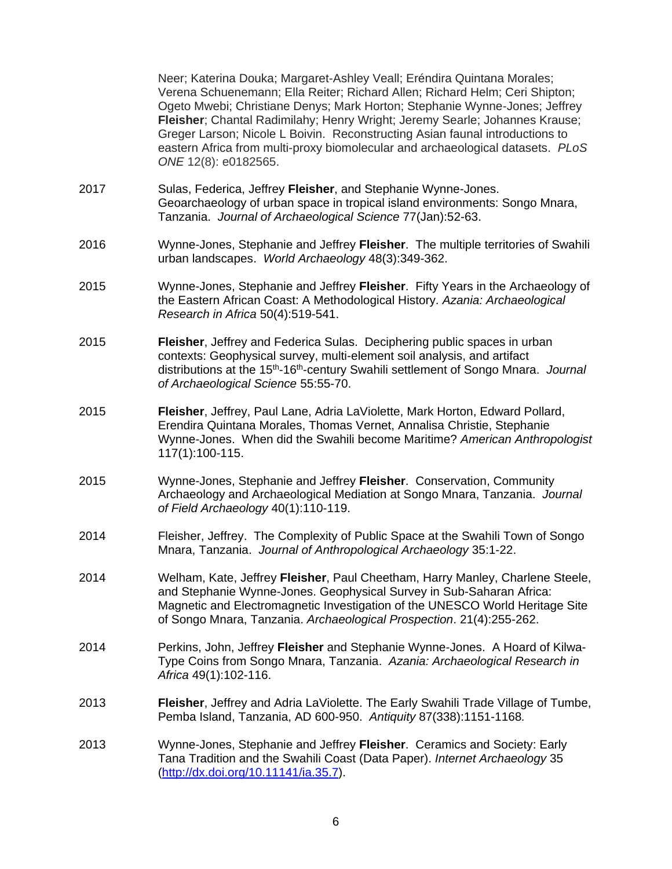Neer; Katerina Douka; Margaret-Ashley Veall; Eréndira Quintana Morales; Verena Schuenemann; Ella Reiter; Richard Allen; Richard Helm; Ceri Shipton; Ogeto Mwebi; Christiane Denys; Mark Horton; Stephanie Wynne-Jones; Jeffrey **Fleisher**; Chantal Radimilahy; Henry Wright; Jeremy Searle; Johannes Krause; Greger Larson; Nicole L Boivin. Reconstructing Asian faunal introductions to eastern Africa from multi-proxy biomolecular and archaeological datasets. *PLoS ONE* 12(8): e0182565.

- 2017 Sulas, Federica, Jeffrey **Fleisher**, and Stephanie Wynne-Jones. Geoarchaeology of urban space in tropical island environments: Songo Mnara, Tanzania. *Journal of Archaeological Science* 77(Jan):52-63.
- 2016 Wynne-Jones, Stephanie and Jeffrey **Fleisher**. The multiple territories of Swahili urban landscapes. *World Archaeology* 48(3):349-362.
- 2015 Wynne-Jones, Stephanie and Jeffrey **Fleisher**. Fifty Years in the Archaeology of the Eastern African Coast: A Methodological History. *Azania: Archaeological Research in Africa* 50(4):519-541.
- 2015 **Fleisher**, Jeffrey and Federica Sulas. Deciphering public spaces in urban contexts: Geophysical survey, multi-element soil analysis, and artifact distributions at the 15th-16th-century Swahili settlement of Songo Mnara. *Journal of Archaeological Science* 55:55-70.
- 2015 **Fleisher**, Jeffrey, Paul Lane, Adria LaViolette, Mark Horton, Edward Pollard, Erendira Quintana Morales, Thomas Vernet, Annalisa Christie, Stephanie Wynne-Jones. When did the Swahili become Maritime? *American Anthropologist*  117(1):100-115.
- 2015 Wynne-Jones, Stephanie and Jeffrey **Fleisher**. Conservation, Community Archaeology and Archaeological Mediation at Songo Mnara, Tanzania. *Journal of Field Archaeology* 40(1):110-119.
- 2014 Fleisher, Jeffrey. The Complexity of Public Space at the Swahili Town of Songo Mnara, Tanzania. *Journal of Anthropological Archaeology* 35:1-22.
- 2014 Welham, Kate, Jeffrey **Fleisher**, Paul Cheetham, Harry Manley, Charlene Steele, and Stephanie Wynne-Jones. [Geophysical Survey in Sub-Saharan Africa:](http://dx.doi.org/10.1002/arp.1487)  [Magnetic and Electromagnetic Investigation of the UNESCO World Heritage Site](http://dx.doi.org/10.1002/arp.1487)  [of Songo Mnara, Tanzania.](http://dx.doi.org/10.1002/arp.1487) *Archaeological Prospection*. 21(4):255-262.
- 2014 Perkins, John, Jeffrey **Fleisher** and Stephanie Wynne-Jones. A Hoard of Kilwa-Type Coins from Songo Mnara, Tanzania. *Azania: Archaeological Research in Africa* 49(1):102-116.
- 2013 **Fleisher**, Jeffrey and Adria LaViolette. The Early Swahili Trade Village of Tumbe, Pemba Island, Tanzania, AD 600-950. *Antiquity* 87(338):1151-1168*.*
- 2013 Wynne-Jones, Stephanie and Jeffrey **Fleisher**. Ceramics and Society: Early Tana Tradition and the Swahili Coast (Data Paper). *Internet Archaeology* 35 [\(http://dx.doi.org/10.11141/ia.35.7\)](http://dx.doi.org/10.11141/ia.35.7).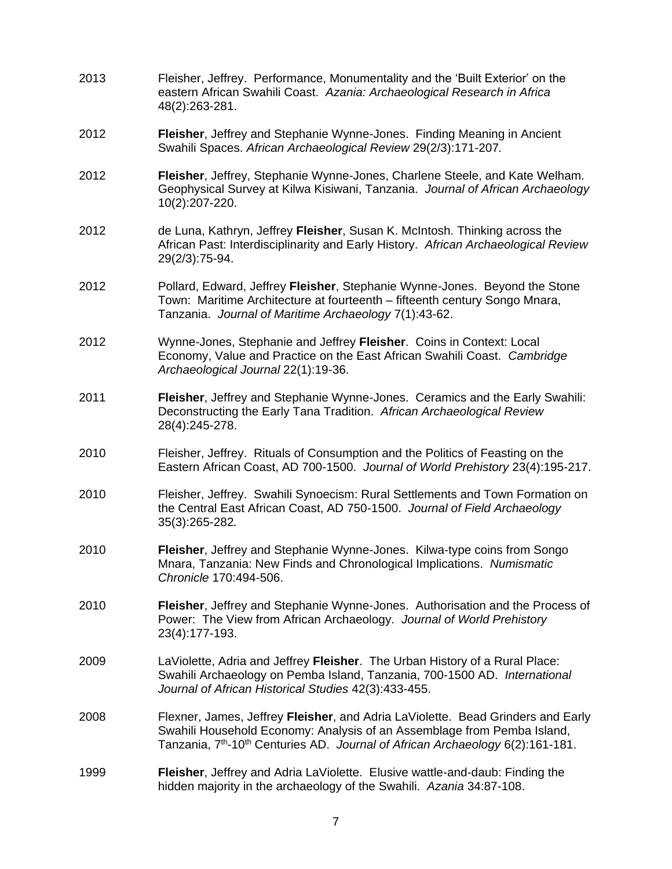- 2013 Fleisher, Jeffrey. Performance, Monumentality and the 'Built Exterior' on the eastern African Swahili Coast. *Azania: Archaeological Research in Africa* 48(2):263-281.
- 2012 **Fleisher**, Jeffrey and Stephanie Wynne-Jones. Finding Meaning in Ancient Swahili Spaces. *African Archaeological Review* 29(2/3):171-207*.*
- 2012 **Fleisher**, Jeffrey, Stephanie Wynne-Jones, Charlene Steele, and Kate Welham. Geophysical Survey at Kilwa Kisiwani, Tanzania. *Journal of African Archaeology* 10(2):207-220.
- 2012 de Luna, Kathryn, Jeffrey **Fleisher**, Susan K. McIntosh. Thinking across the African Past: Interdisciplinarity and Early History. *African Archaeological Review* 29(2/3):75-94.
- 2012 Pollard, Edward, Jeffrey **Fleisher**, Stephanie Wynne-Jones. Beyond the Stone Town: Maritime Architecture at fourteenth – fifteenth century Songo Mnara, Tanzania. *Journal of Maritime Archaeology* 7(1):43-62.
- 2012 Wynne-Jones, Stephanie and Jeffrey **Fleisher**. Coins in Context: Local Economy, Value and Practice on the East African Swahili Coast. *Cambridge Archaeological Journal* 22(1):19-36.
- 2011 **Fleisher**, Jeffrey and Stephanie Wynne-Jones. Ceramics and the Early Swahili: Deconstructing the Early Tana Tradition. *African Archaeological Review*  28(4):245-278.
- 2010 Fleisher, Jeffrey. Rituals of Consumption and the Politics of Feasting on the Eastern African Coast, AD 700-1500. *Journal of World Prehistory* 23(4):195-217.
- 2010 Fleisher, Jeffrey. Swahili Synoecism: Rural Settlements and Town Formation on the Central East African Coast, AD 750-1500. *Journal of Field Archaeology* 35(3):265-282*.*
- 2010 **Fleisher**, Jeffrey and Stephanie Wynne-Jones. Kilwa-type coins from Songo Mnara, Tanzania: New Finds and Chronological Implications. *Numismatic Chronicle* 170:494-506.
- 2010 **Fleisher**, Jeffrey and Stephanie Wynne-Jones. Authorisation and the Process of Power: The View from African Archaeology. *Journal of World Prehistory* 23(4):177-193.
- 2009 LaViolette, Adria and Jeffrey **Fleisher**. The Urban History of a Rural Place: Swahili Archaeology on Pemba Island, Tanzania, 700-1500 AD. *International Journal of African Historical Studies* 42(3):433-455.
- 2008 Flexner, James, Jeffrey **Fleisher**, and Adria LaViolette. Bead Grinders and Early Swahili Household Economy: Analysis of an Assemblage from Pemba Island, Tanzania, 7th-10th Centuries AD. *Journal of African Archaeology* 6(2):161-181.
- 1999 **Fleisher**, Jeffrey and Adria LaViolette. Elusive wattle-and-daub: Finding the hidden majority in the archaeology of the Swahili. *Azania* 34:87-108.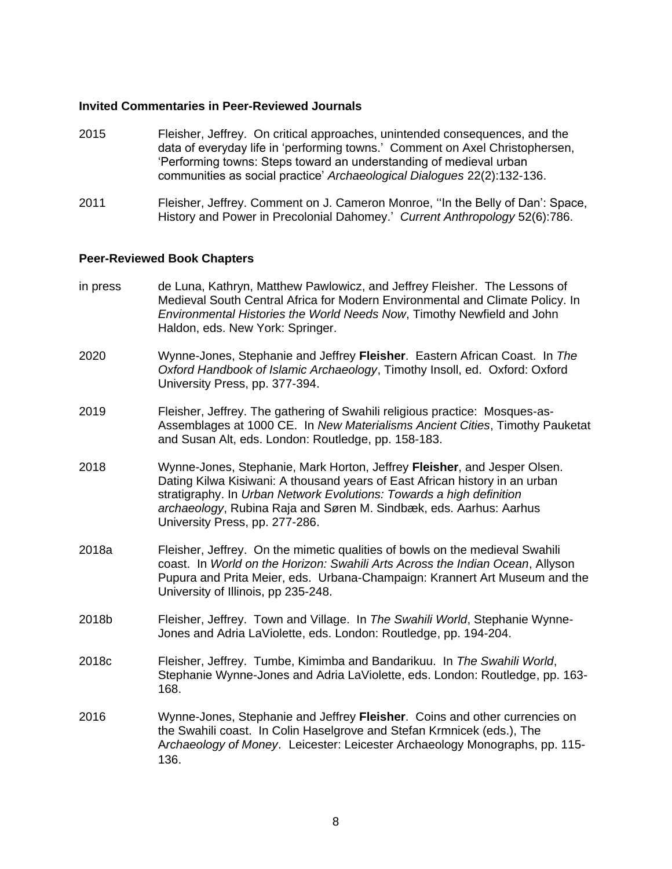### **Invited Commentaries in Peer-Reviewed Journals**

- 2015 Fleisher, Jeffrey. On critical approaches, unintended consequences, and the data of everyday life in 'performing towns.' Comment on Axel Christophersen, 'Performing towns: Steps toward an understanding of medieval urban communities as social practice' *Archaeological Dialogues* 22(2):132-136.
- 2011 Fleisher, Jeffrey. Comment on J. Cameron Monroe, ''In the Belly of Dan': Space, History and Power in Precolonial Dahomey.' *Current Anthropology* 52(6):786.

#### **Peer-Reviewed Book Chapters**

- in press de Luna, Kathryn, Matthew Pawlowicz, and Jeffrey Fleisher. The Lessons of Medieval South Central Africa for Modern Environmental and Climate Policy. In *Environmental Histories the World Needs Now*, Timothy Newfield and John Haldon, eds. New York: Springer.
- 2020 Wynne-Jones, Stephanie and Jeffrey **Fleisher**. Eastern African Coast. In *The Oxford Handbook of Islamic Archaeology*, Timothy Insoll, ed. Oxford: Oxford University Press, pp. 377-394.
- 2019 Fleisher, Jeffrey. The gathering of Swahili religious practice: Mosques-as-Assemblages at 1000 CE. In *New Materialisms Ancient Cities*, Timothy Pauketat and Susan Alt, eds. London: Routledge, pp. 158-183.
- 2018 Wynne-Jones, Stephanie, Mark Horton, Jeffrey **Fleisher**, and Jesper Olsen. Dating Kilwa Kisiwani: A thousand years of East African history in an urban stratigraphy. In *Urban Network Evolutions: Towards a high definition archaeology*, Rubina Raja and Søren M. Sindbæk, eds. Aarhus: Aarhus University Press, pp. 277-286.
- 2018a Fleisher, Jeffrey. On the mimetic qualities of bowls on the medieval Swahili coast. In *World on the Horizon: Swahili Arts Across the Indian Ocean*, Allyson Pupura and Prita Meier, eds. Urbana-Champaign: Krannert Art Museum and the University of Illinois, pp 235-248.
- 2018b Fleisher, Jeffrey. Town and Village. In *The Swahili World*, Stephanie Wynne-Jones and Adria LaViolette, eds. London: Routledge, pp. 194-204.
- 2018c Fleisher, Jeffrey. Tumbe, Kimimba and Bandarikuu. In *The Swahili World*, Stephanie Wynne-Jones and Adria LaViolette, eds. London: Routledge, pp. 163- 168.
- 2016 Wynne-Jones, Stephanie and Jeffrey **Fleisher**. Coins and other currencies on the Swahili coast. In Colin Haselgrove and Stefan Krmnicek (eds.), The A*rchaeology of Money*. Leicester: Leicester Archaeology Monographs, pp. 115- 136.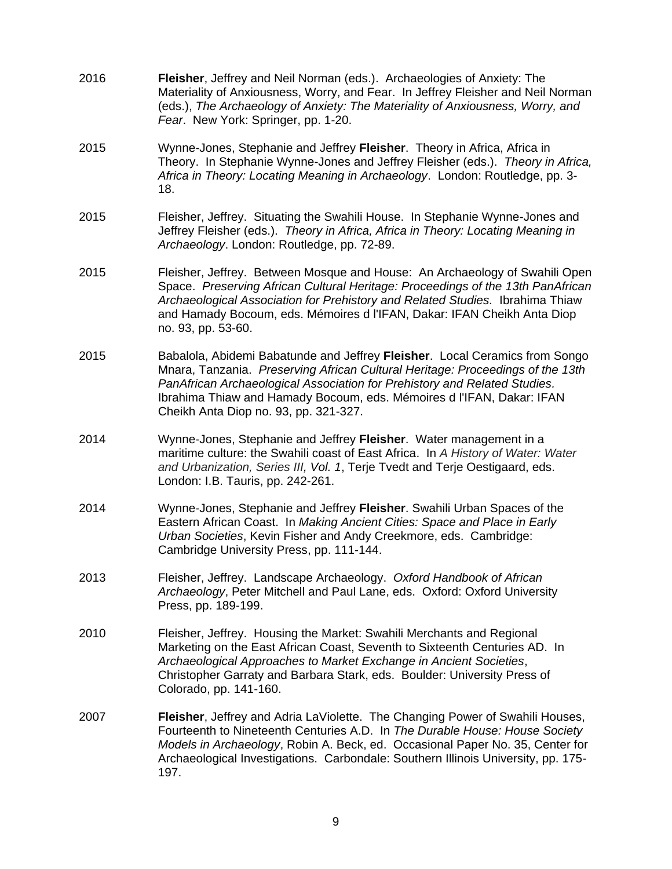- 2016 **Fleisher**, Jeffrey and Neil Norman (eds.). Archaeologies of Anxiety: The Materiality of Anxiousness, Worry, and Fear. In Jeffrey Fleisher and Neil Norman (eds.), *The Archaeology of Anxiety: The Materiality of Anxiousness, Worry, and Fear*. New York: Springer, pp. 1-20.
- 2015 Wynne-Jones, Stephanie and Jeffrey **Fleisher**. Theory in Africa, Africa in Theory. In Stephanie Wynne-Jones and Jeffrey Fleisher (eds.). *Theory in Africa, Africa in Theory: Locating Meaning in Archaeology*. London: Routledge, pp. 3- 18.
- 2015 Fleisher, Jeffrey. Situating the Swahili House. In Stephanie Wynne-Jones and Jeffrey Fleisher (eds.). *Theory in Africa, Africa in Theory: Locating Meaning in Archaeology*. London: Routledge, pp. 72-89.
- 2015 Fleisher, Jeffrey. Between Mosque and House: An Archaeology of Swahili Open Space. *Preserving African Cultural Heritage: Proceedings of the 13th PanAfrican Archaeological Association for Prehistory and Related Studies.* Ibrahima Thiaw and Hamady Bocoum, eds. Mémoires d l'IFAN, Dakar: IFAN Cheikh Anta Diop no. 93, pp. 53-60.
- 2015 Babalola, Abidemi Babatunde and Jeffrey **Fleisher**. Local Ceramics from Songo Mnara, Tanzania. *Preserving African Cultural Heritage: Proceedings of the 13th PanAfrican Archaeological Association for Prehistory and Related Studies.*  Ibrahima Thiaw and Hamady Bocoum, eds. Mémoires d l'IFAN, Dakar: IFAN Cheikh Anta Diop no. 93, pp. 321-327.
- 2014 Wynne-Jones, Stephanie and Jeffrey **Fleisher**. Water management in a maritime culture: the Swahili coast of East Africa. In *A History of Water: Water and Urbanization, Series III, Vol. 1*, Terje Tvedt and Terje Oestigaard, eds. London: I.B. Tauris, pp. 242-261.
- 2014 Wynne-Jones, Stephanie and Jeffrey **Fleisher**. Swahili Urban Spaces of the Eastern African Coast. In *Making Ancient Cities: Space and Place in Early Urban Societies*, Kevin Fisher and Andy Creekmore, eds. Cambridge: Cambridge University Press, pp. 111-144.
- 2013 Fleisher, Jeffrey. Landscape Archaeology. *Oxford Handbook of African Archaeology*, Peter Mitchell and Paul Lane, eds. Oxford: Oxford University Press, pp. 189-199.
- 2010 Fleisher, Jeffrey. Housing the Market: Swahili Merchants and Regional Marketing on the East African Coast, Seventh to Sixteenth Centuries AD. In *Archaeological Approaches to Market Exchange in Ancient Societies*, Christopher Garraty and Barbara Stark, eds. Boulder: University Press of Colorado, pp. 141-160.
- 2007 **Fleisher**, Jeffrey and Adria LaViolette. The Changing Power of Swahili Houses, Fourteenth to Nineteenth Centuries A.D. In *The Durable House: House Society Models in Archaeology*, Robin A. Beck, ed. Occasional Paper No. 35, Center for Archaeological Investigations. Carbondale: Southern Illinois University, pp. 175- 197.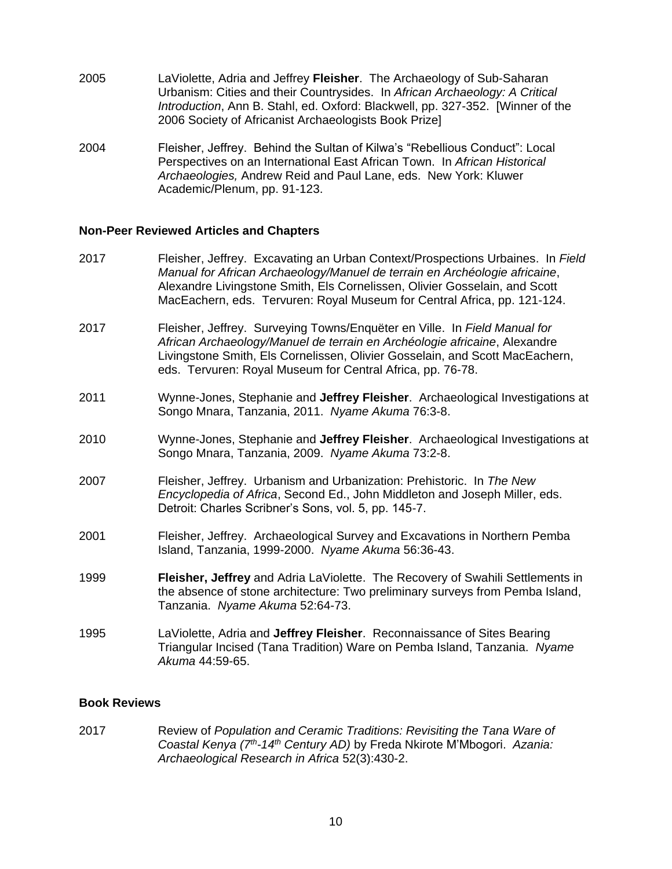- 2005 LaViolette, Adria and Jeffrey **Fleisher**. The Archaeology of Sub-Saharan Urbanism: Cities and their Countrysides. In *African Archaeology: A Critical Introduction*, Ann B. Stahl, ed. Oxford: Blackwell, pp. 327-352. [Winner of the 2006 Society of Africanist Archaeologists Book Prize]
- 2004 Fleisher, Jeffrey. Behind the Sultan of Kilwa's "Rebellious Conduct": Local Perspectives on an International East African Town. In *African Historical Archaeologies,* Andrew Reid and Paul Lane, eds. New York: Kluwer Academic/Plenum, pp. 91-123.

### **Non-Peer Reviewed Articles and Chapters**

- 2017 Fleisher, Jeffrey. Excavating an Urban Context/Prospections Urbaines. In *Field Manual for African Archaeology/Manuel de terrain en Archéologie africaine*, Alexandre Livingstone Smith, Els Cornelissen, Olivier Gosselain, and Scott MacEachern, eds. Tervuren: Royal Museum for Central Africa, pp. 121-124.
- 2017 Fleisher, Jeffrey. Surveying Towns/Enquëter en Ville. In *Field Manual for African Archaeology/Manuel de terrain en Archéologie africaine*, Alexandre Livingstone Smith, Els Cornelissen, Olivier Gosselain, and Scott MacEachern, eds. Tervuren: Royal Museum for Central Africa, pp. 76-78.
- 2011 Wynne-Jones, Stephanie and **Jeffrey Fleisher**. Archaeological Investigations at Songo Mnara, Tanzania, 2011. *Nyame Akuma* 76:3-8.
- 2010 Wynne-Jones, Stephanie and **Jeffrey Fleisher**. Archaeological Investigations at Songo Mnara, Tanzania, 2009. *Nyame Akuma* 73:2-8.
- 2007 Fleisher, Jeffrey. Urbanism and Urbanization: Prehistoric. In *The New Encyclopedia of Africa*, Second Ed., John Middleton and Joseph Miller, eds. Detroit: Charles Scribner's Sons, vol. 5, pp. 145-7.
- 2001 Fleisher, Jeffrey. Archaeological Survey and Excavations in Northern Pemba Island, Tanzania, 1999-2000. *Nyame Akuma* 56:36-43.
- 1999 **Fleisher, Jeffrey** and Adria LaViolette. The Recovery of Swahili Settlements in the absence of stone architecture: Two preliminary surveys from Pemba Island, Tanzania. *Nyame Akuma* 52:64-73.
- 1995 LaViolette, Adria and **Jeffrey Fleisher**. Reconnaissance of Sites Bearing Triangular Incised (Tana Tradition) Ware on Pemba Island, Tanzania. *Nyame Akuma* 44:59-65.

### **Book Reviews**

2017 Review of *Population and Ceramic Traditions: Revisiting the Tana Ware of Coastal Kenya (7th-14th Century AD)* by Freda Nkirote M'Mbogori. *Azania: Archaeological Research in Africa* 52(3):430-2.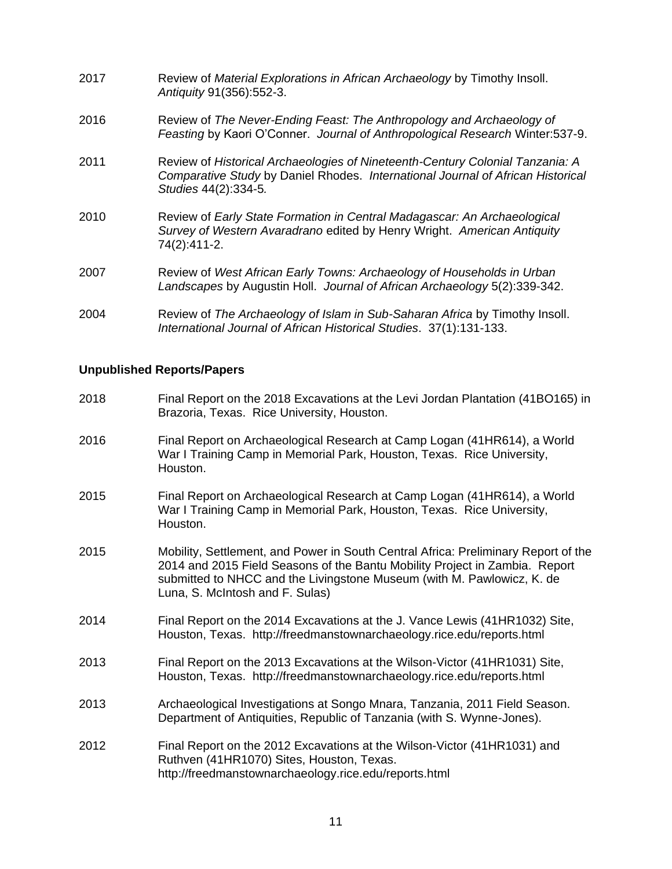- 2017 Review of *Material Explorations in African Archaeology* by Timothy Insoll. *Antiquity* 91(356):552-3. 2016 Review of *The Never-Ending Feast: The Anthropology and Archaeology of Feasting* by Kaori O'Conner. *Journal of Anthropological Research* Winter:537-9. 2011 Review of *Historical Archaeologies of Nineteenth-Century Colonial Tanzania: A Comparative Study* by Daniel Rhodes. *International Journal of African Historical Studies* 44(2):334-5*.* 2010 Review of *Early State Formation in Central Madagascar: An Archaeological Survey of Western Avaradrano* edited by Henry Wright. *American Antiquity* 74(2):411-2.
- 2007 Review of *West African Early Towns: Archaeology of Households in Urban Landscapes* by Augustin Holl. *Journal of African Archaeology* 5(2):339-342.
- 2004 Review of *The Archaeology of Islam in Sub-Saharan Africa* by Timothy Insoll. *International Journal of African Historical Studies*. 37(1):131-133.

### **Unpublished Reports/Papers**

- 2018 Final Report on the 2018 Excavations at the Levi Jordan Plantation (41BO165) in Brazoria, Texas. Rice University, Houston.
- 2016 Final Report on Archaeological Research at Camp Logan (41HR614), a World War I Training Camp in Memorial Park, Houston, Texas. Rice University, Houston.
- 2015 Final Report on Archaeological Research at Camp Logan (41HR614), a World War I Training Camp in Memorial Park, Houston, Texas. Rice University, Houston.
- 2015 Mobility, Settlement, and Power in South Central Africa: Preliminary Report of the 2014 and 2015 Field Seasons of the Bantu Mobility Project in Zambia. Report submitted to NHCC and the Livingstone Museum (with M. Pawlowicz, K. de Luna, S. McIntosh and F. Sulas)
- 2014 Final Report on the 2014 Excavations at the J. Vance Lewis (41HR1032) Site, Houston, Texas. http://freedmanstownarchaeology.rice.edu/reports.html
- 2013 Final Report on the 2013 Excavations at the Wilson-Victor (41HR1031) Site, Houston, Texas. http://freedmanstownarchaeology.rice.edu/reports.html
- 2013 Archaeological Investigations at Songo Mnara, Tanzania, 2011 Field Season. Department of Antiquities, Republic of Tanzania (with S. Wynne-Jones).
- 2012 Final Report on the 2012 Excavations at the Wilson-Victor (41HR1031) and Ruthven (41HR1070) Sites, Houston, Texas. http://freedmanstownarchaeology.rice.edu/reports.html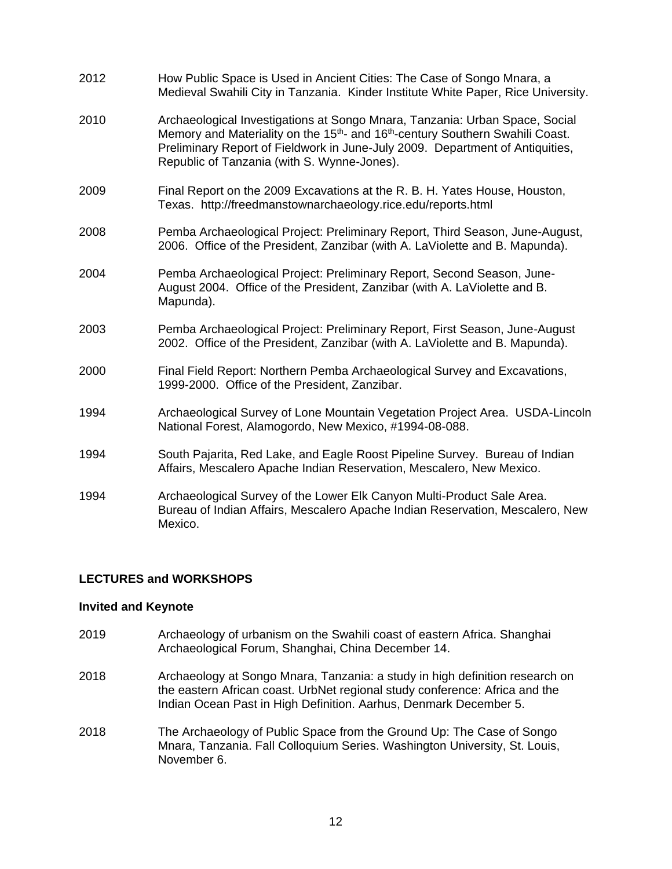| 2012 | How Public Space is Used in Ancient Cities: The Case of Songo Mnara, a<br>Medieval Swahili City in Tanzania. Kinder Institute White Paper, Rice University.                                                                                                                                                           |
|------|-----------------------------------------------------------------------------------------------------------------------------------------------------------------------------------------------------------------------------------------------------------------------------------------------------------------------|
| 2010 | Archaeological Investigations at Songo Mnara, Tanzania: Urban Space, Social<br>Memory and Materiality on the 15 <sup>th</sup> - and 16 <sup>th</sup> -century Southern Swahili Coast.<br>Preliminary Report of Fieldwork in June-July 2009. Department of Antiquities,<br>Republic of Tanzania (with S. Wynne-Jones). |
| 2009 | Final Report on the 2009 Excavations at the R. B. H. Yates House, Houston,<br>Texas. http://freedmanstownarchaeology.rice.edu/reports.html                                                                                                                                                                            |
| 2008 | Pemba Archaeological Project: Preliminary Report, Third Season, June-August,<br>2006. Office of the President, Zanzibar (with A. LaViolette and B. Mapunda).                                                                                                                                                          |
| 2004 | Pemba Archaeological Project: Preliminary Report, Second Season, June-<br>August 2004. Office of the President, Zanzibar (with A. LaViolette and B.<br>Mapunda).                                                                                                                                                      |
| 2003 | Pemba Archaeological Project: Preliminary Report, First Season, June-August<br>2002. Office of the President, Zanzibar (with A. LaViolette and B. Mapunda).                                                                                                                                                           |
| 2000 | Final Field Report: Northern Pemba Archaeological Survey and Excavations,<br>1999-2000. Office of the President, Zanzibar.                                                                                                                                                                                            |
| 1994 | Archaeological Survey of Lone Mountain Vegetation Project Area. USDA-Lincoln<br>National Forest, Alamogordo, New Mexico, #1994-08-088.                                                                                                                                                                                |
| 1994 | South Pajarita, Red Lake, and Eagle Roost Pipeline Survey. Bureau of Indian<br>Affairs, Mescalero Apache Indian Reservation, Mescalero, New Mexico.                                                                                                                                                                   |
| 1994 | Archaeological Survey of the Lower Elk Canyon Multi-Product Sale Area.<br>Bureau of Indian Affairs, Mescalero Apache Indian Reservation, Mescalero, New<br>Mexico.                                                                                                                                                    |

# **LECTURES and WORKSHOPS**

#### **Invited and Keynote**

- 2019 Archaeology of urbanism on the Swahili coast of eastern Africa. Shanghai Archaeological Forum, Shanghai, China December 14.
- 2018 Archaeology at Songo Mnara, Tanzania: a study in high definition research on the eastern African coast. UrbNet regional study conference: Africa and the Indian Ocean Past in High Definition. Aarhus, Denmark December 5.
- 2018 The Archaeology of Public Space from the Ground Up: The Case of Songo Mnara, Tanzania. Fall Colloquium Series. Washington University, St. Louis, November 6.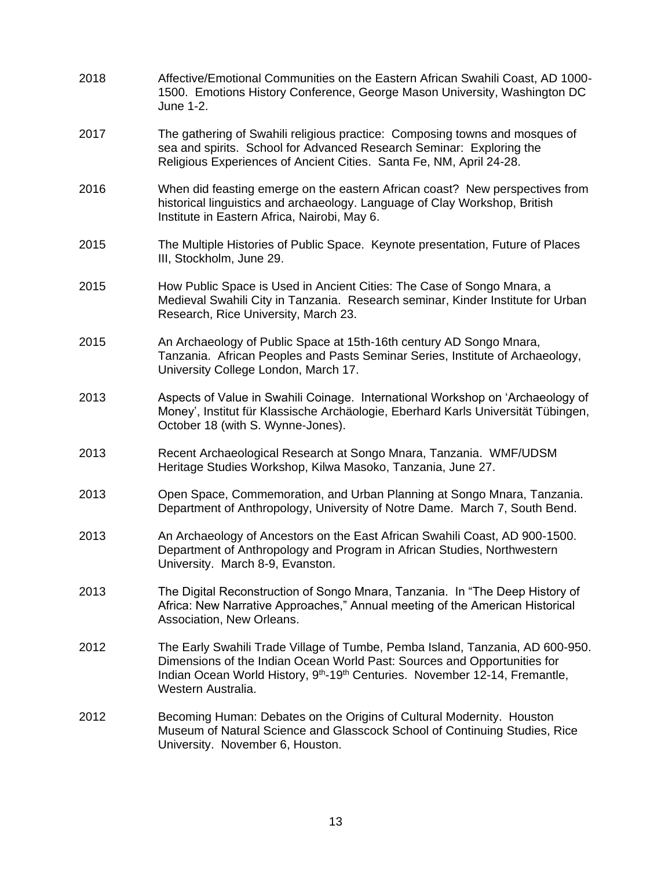| 2018 | Affective/Emotional Communities on the Eastern African Swahili Coast, AD 1000-<br>1500. Emotions History Conference, George Mason University, Washington DC<br>June 1-2.                                                                                                               |
|------|----------------------------------------------------------------------------------------------------------------------------------------------------------------------------------------------------------------------------------------------------------------------------------------|
| 2017 | The gathering of Swahili religious practice: Composing towns and mosques of<br>sea and spirits. School for Advanced Research Seminar: Exploring the<br>Religious Experiences of Ancient Cities. Santa Fe, NM, April 24-28.                                                             |
| 2016 | When did feasting emerge on the eastern African coast? New perspectives from<br>historical linguistics and archaeology. Language of Clay Workshop, British<br>Institute in Eastern Africa, Nairobi, May 6.                                                                             |
| 2015 | The Multiple Histories of Public Space. Keynote presentation, Future of Places<br>III, Stockholm, June 29.                                                                                                                                                                             |
| 2015 | How Public Space is Used in Ancient Cities: The Case of Songo Mnara, a<br>Medieval Swahili City in Tanzania. Research seminar, Kinder Institute for Urban<br>Research, Rice University, March 23.                                                                                      |
| 2015 | An Archaeology of Public Space at 15th-16th century AD Songo Mnara,<br>Tanzania. African Peoples and Pasts Seminar Series, Institute of Archaeology,<br>University College London, March 17.                                                                                           |
| 2013 | Aspects of Value in Swahili Coinage. International Workshop on 'Archaeology of<br>Money', Institut für Klassische Archäologie, Eberhard Karls Universität Tübingen,<br>October 18 (with S. Wynne-Jones).                                                                               |
| 2013 | Recent Archaeological Research at Songo Mnara, Tanzania. WMF/UDSM<br>Heritage Studies Workshop, Kilwa Masoko, Tanzania, June 27.                                                                                                                                                       |
| 2013 | Open Space, Commemoration, and Urban Planning at Songo Mnara, Tanzania.<br>Department of Anthropology, University of Notre Dame. March 7, South Bend.                                                                                                                                  |
| 2013 | An Archaeology of Ancestors on the East African Swahili Coast, AD 900-1500.<br>Department of Anthropology and Program in African Studies, Northwestern<br>University. March 8-9, Evanston.                                                                                             |
| 2013 | The Digital Reconstruction of Songo Mnara, Tanzania. In "The Deep History of<br>Africa: New Narrative Approaches," Annual meeting of the American Historical<br>Association, New Orleans.                                                                                              |
| 2012 | The Early Swahili Trade Village of Tumbe, Pemba Island, Tanzania, AD 600-950.<br>Dimensions of the Indian Ocean World Past: Sources and Opportunities for<br>Indian Ocean World History, 9 <sup>th</sup> -19 <sup>th</sup> Centuries. November 12-14, Fremantle,<br>Western Australia. |
| 2012 | Becoming Human: Debates on the Origins of Cultural Modernity. Houston<br>Museum of Natural Science and Glasscock School of Continuing Studies, Rice<br>University. November 6, Houston.                                                                                                |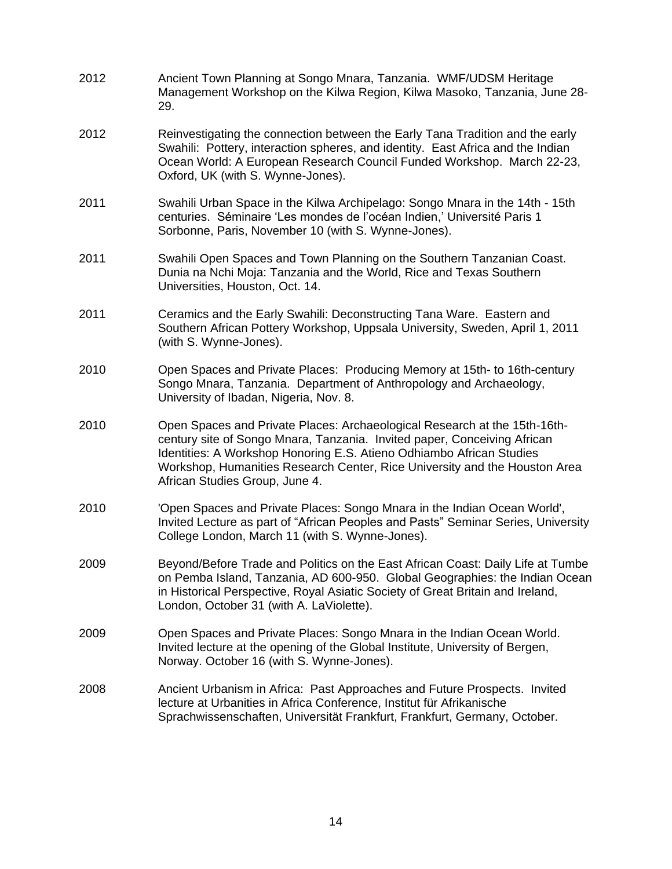| 2012 | Ancient Town Planning at Songo Mnara, Tanzania. WMF/UDSM Heritage<br>Management Workshop on the Kilwa Region, Kilwa Masoko, Tanzania, June 28-<br>29.                                                                                                                                                                                         |
|------|-----------------------------------------------------------------------------------------------------------------------------------------------------------------------------------------------------------------------------------------------------------------------------------------------------------------------------------------------|
| 2012 | Reinvestigating the connection between the Early Tana Tradition and the early<br>Swahili: Pottery, interaction spheres, and identity. East Africa and the Indian<br>Ocean World: A European Research Council Funded Workshop. March 22-23,<br>Oxford, UK (with S. Wynne-Jones).                                                               |
| 2011 | Swahili Urban Space in the Kilwa Archipelago: Songo Mnara in the 14th - 15th<br>centuries. Séminaire 'Les mondes de l'océan Indien,' Université Paris 1<br>Sorbonne, Paris, November 10 (with S. Wynne-Jones).                                                                                                                                |
| 2011 | Swahili Open Spaces and Town Planning on the Southern Tanzanian Coast.<br>Dunia na Nchi Moja: Tanzania and the World, Rice and Texas Southern<br>Universities, Houston, Oct. 14.                                                                                                                                                              |
| 2011 | Ceramics and the Early Swahili: Deconstructing Tana Ware. Eastern and<br>Southern African Pottery Workshop, Uppsala University, Sweden, April 1, 2011<br>(with S. Wynne-Jones).                                                                                                                                                               |
| 2010 | Open Spaces and Private Places: Producing Memory at 15th- to 16th-century<br>Songo Mnara, Tanzania. Department of Anthropology and Archaeology,<br>University of Ibadan, Nigeria, Nov. 8.                                                                                                                                                     |
| 2010 | Open Spaces and Private Places: Archaeological Research at the 15th-16th-<br>century site of Songo Mnara, Tanzania. Invited paper, Conceiving African<br>Identities: A Workshop Honoring E.S. Atieno Odhiambo African Studies<br>Workshop, Humanities Research Center, Rice University and the Houston Area<br>African Studies Group, June 4. |
| 2010 | 'Open Spaces and Private Places: Songo Mnara in the Indian Ocean World',<br>Invited Lecture as part of "African Peoples and Pasts" Seminar Series, University<br>College London, March 11 (with S. Wynne-Jones).                                                                                                                              |
| 2009 | Beyond/Before Trade and Politics on the East African Coast: Daily Life at Tumbe<br>on Pemba Island, Tanzania, AD 600-950. Global Geographies: the Indian Ocean<br>in Historical Perspective, Royal Asiatic Society of Great Britain and Ireland,<br>London, October 31 (with A. LaViolette).                                                  |
| 2009 | Open Spaces and Private Places: Songo Mnara in the Indian Ocean World.<br>Invited lecture at the opening of the Global Institute, University of Bergen,<br>Norway. October 16 (with S. Wynne-Jones).                                                                                                                                          |
| 2008 | Ancient Urbanism in Africa: Past Approaches and Future Prospects. Invited<br>lecture at Urbanities in Africa Conference, Institut für Afrikanische<br>Sprachwissenschaften, Universität Frankfurt, Frankfurt, Germany, October.                                                                                                               |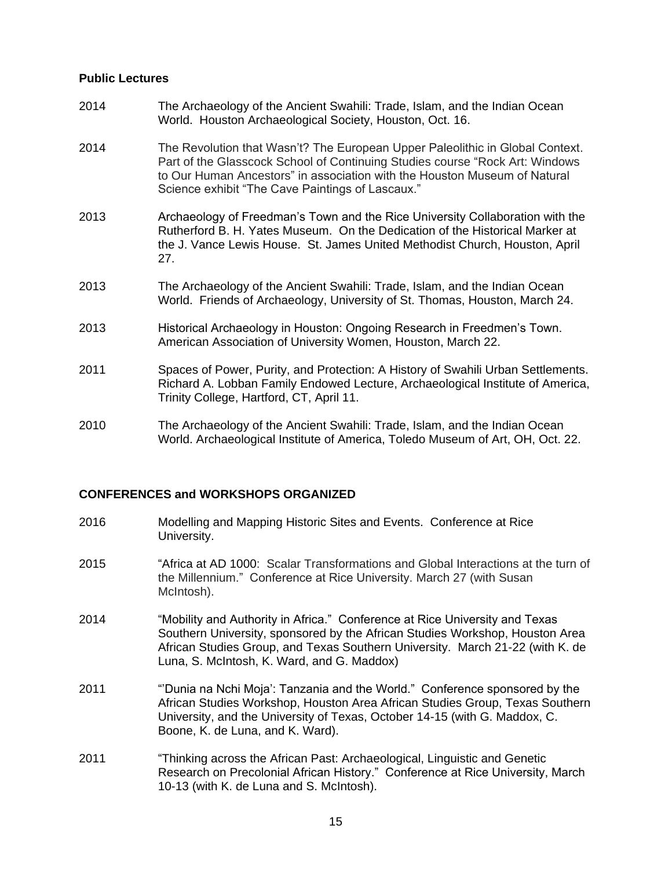### **Public Lectures**

| 2014 | The Archaeology of the Ancient Swahili: Trade, Islam, and the Indian Ocean |
|------|----------------------------------------------------------------------------|
|      | World. Houston Archaeological Society, Houston, Oct. 16.                   |

- 2014 The Revolution that Wasn't? The European Upper Paleolithic in Global Context. Part of the Glasscock School of Continuing Studies course "Rock Art: Windows to Our Human Ancestors" in association with the Houston Museum of Natural Science exhibit "The Cave Paintings of Lascaux."
- 2013 Archaeology of Freedman's Town and the Rice University Collaboration with the Rutherford B. H. Yates Museum. On the Dedication of the Historical Marker at the J. Vance Lewis House. St. James United Methodist Church, Houston, April 27.
- 2013 The Archaeology of the Ancient Swahili: Trade, Islam, and the Indian Ocean World. Friends of Archaeology, University of St. Thomas, Houston, March 24.
- 2013 Historical Archaeology in Houston: Ongoing Research in Freedmen's Town. American Association of University Women, Houston, March 22.
- 2011 Spaces of Power, Purity, and Protection: A History of Swahili Urban Settlements. Richard A. Lobban Family Endowed Lecture, Archaeological Institute of America, Trinity College, Hartford, CT, April 11.
- 2010 The Archaeology of the Ancient Swahili: Trade, Islam, and the Indian Ocean World. Archaeological Institute of America, Toledo Museum of Art, OH, Oct. 22.

### **CONFERENCES and WORKSHOPS ORGANIZED**

- 2016 Modelling and Mapping Historic Sites and Events. Conference at Rice University.
- 2015 "Africa at AD 1000: Scalar Transformations and Global Interactions at the turn of the Millennium." Conference at Rice University. March 27 (with Susan McIntosh).
- 2014 "Mobility and Authority in Africa." Conference at Rice University and Texas Southern University, sponsored by the African Studies Workshop, Houston Area African Studies Group, and Texas Southern University. March 21-22 (with K. de Luna, S. McIntosh, K. Ward, and G. Maddox)
- 2011 "'Dunia na Nchi Moja': Tanzania and the World." Conference sponsored by the African Studies Workshop, Houston Area African Studies Group, Texas Southern University, and the University of Texas, October 14-15 (with G. Maddox, C. Boone, K. de Luna, and K. Ward).
- 2011 "Thinking across the African Past: Archaeological, Linguistic and Genetic Research on Precolonial African History." Conference at Rice University, March 10-13 (with K. de Luna and S. McIntosh).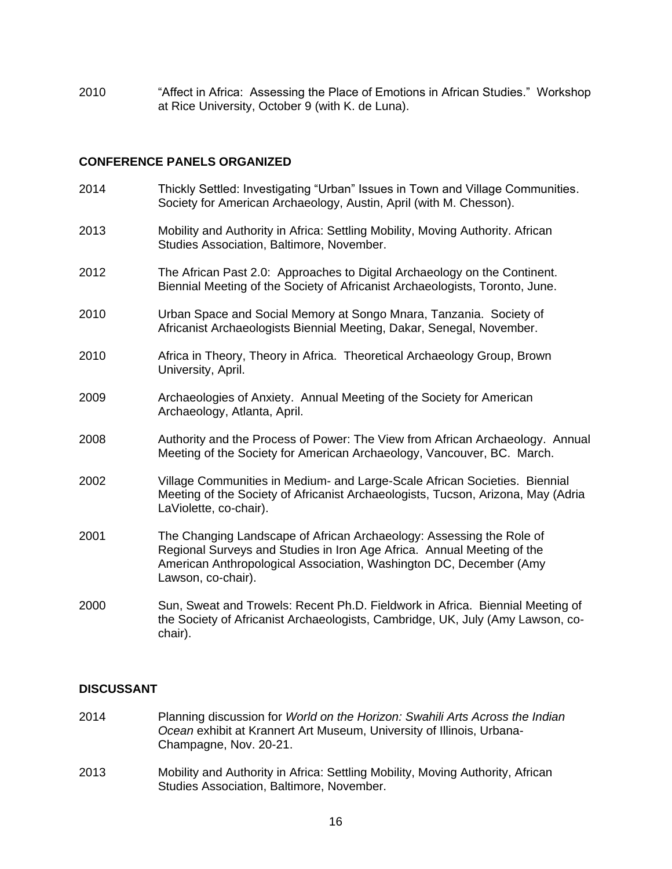2010 "Affect in Africa: Assessing the Place of Emotions in African Studies." Workshop at Rice University, October 9 (with K. de Luna).

### **CONFERENCE PANELS ORGANIZED**

2014 Thickly Settled: Investigating "Urban" Issues in Town and Village Communities. Society for American Archaeology, Austin, April (with M. Chesson). 2013 Mobility and Authority in Africa: Settling Mobility, Moving Authority. African Studies Association, Baltimore, November. 2012 The African Past 2.0: Approaches to Digital Archaeology on the Continent. Biennial Meeting of the Society of Africanist Archaeologists, Toronto, June. 2010 Urban Space and Social Memory at Songo Mnara, Tanzania. Society of Africanist Archaeologists Biennial Meeting, Dakar, Senegal, November. 2010 Africa in Theory, Theory in Africa. Theoretical Archaeology Group, Brown University, April. 2009 Archaeologies of Anxiety. Annual Meeting of the Society for American Archaeology, Atlanta, April. 2008 Authority and the Process of Power: The View from African Archaeology. Annual Meeting of the Society for American Archaeology, Vancouver, BC. March. 2002 Village Communities in Medium- and Large-Scale African Societies. Biennial Meeting of the Society of Africanist Archaeologists, Tucson, Arizona, May (Adria LaViolette, co-chair). 2001 The Changing Landscape of African Archaeology: Assessing the Role of Regional Surveys and Studies in Iron Age Africa. Annual Meeting of the American Anthropological Association, Washington DC, December (Amy Lawson, co-chair). 2000 Sun, Sweat and Trowels: Recent Ph.D. Fieldwork in Africa. Biennial Meeting of the Society of Africanist Archaeologists, Cambridge, UK, July (Amy Lawson, cochair).

# **DISCUSSANT**

- 2014 Planning discussion for *World on the Horizon: Swahili Arts Across the Indian Ocean* exhibit at Krannert Art Museum, University of Illinois, Urbana-Champagne, Nov. 20-21.
- 2013 Mobility and Authority in Africa: Settling Mobility, Moving Authority, African Studies Association, Baltimore, November.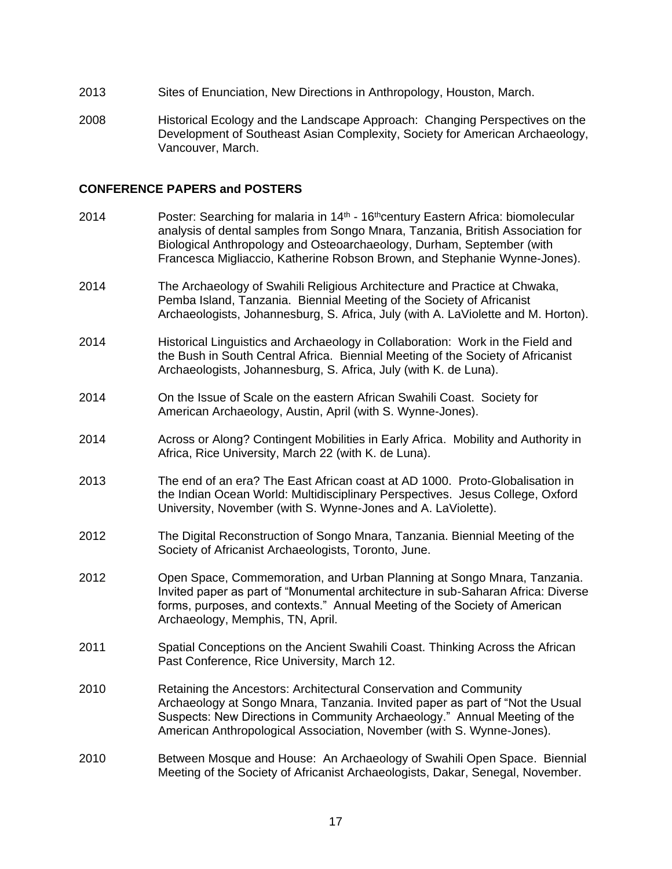- 2013 Sites of Enunciation, New Directions in Anthropology, Houston, March.
- 2008 Historical Ecology and the Landscape Approach: Changing Perspectives on the Development of Southeast Asian Complexity, Society for American Archaeology, Vancouver, March.

### **CONFERENCE PAPERS and POSTERS**

- 2014 Poster: Searching for malaria in  $14<sup>th</sup>$  16<sup>th</sup>century Eastern Africa: biomolecular analysis of dental samples from Songo Mnara, Tanzania, British Association for Biological Anthropology and Osteoarchaeology, Durham, September (with Francesca Migliaccio, Katherine Robson Brown, and Stephanie Wynne-Jones).
- 2014 The Archaeology of Swahili Religious Architecture and Practice at Chwaka, Pemba Island, Tanzania. Biennial Meeting of the Society of Africanist Archaeologists, Johannesburg, S. Africa, July (with A. LaViolette and M. Horton).
- 2014 Historical Linguistics and Archaeology in Collaboration: Work in the Field and the Bush in South Central Africa. Biennial Meeting of the Society of Africanist Archaeologists, Johannesburg, S. Africa, July (with K. de Luna).
- 2014 On the Issue of Scale on the eastern African Swahili Coast. Society for American Archaeology, Austin, April (with S. Wynne-Jones).
- 2014 Across or Along? Contingent Mobilities in Early Africa. Mobility and Authority in Africa, Rice University, March 22 (with K. de Luna).
- 2013 The end of an era? The East African coast at AD 1000. Proto-Globalisation in the Indian Ocean World: Multidisciplinary Perspectives. Jesus College, Oxford University, November (with S. Wynne-Jones and A. LaViolette).
- 2012 The Digital Reconstruction of Songo Mnara, Tanzania. Biennial Meeting of the Society of Africanist Archaeologists, Toronto, June.
- 2012 Open Space, Commemoration, and Urban Planning at Songo Mnara, Tanzania. Invited paper as part of "Monumental architecture in sub-Saharan Africa: Diverse forms, purposes, and contexts." Annual Meeting of the Society of American Archaeology, Memphis, TN, April.
- 2011 Spatial Conceptions on the Ancient Swahili Coast. Thinking Across the African Past Conference, Rice University, March 12.
- 2010 Retaining the Ancestors: Architectural Conservation and Community Archaeology at Songo Mnara, Tanzania. Invited paper as part of "Not the Usual Suspects: New Directions in Community Archaeology." Annual Meeting of the American Anthropological Association, November (with S. Wynne-Jones).
- 2010 Between Mosque and House: An Archaeology of Swahili Open Space. Biennial Meeting of the Society of Africanist Archaeologists, Dakar, Senegal, November.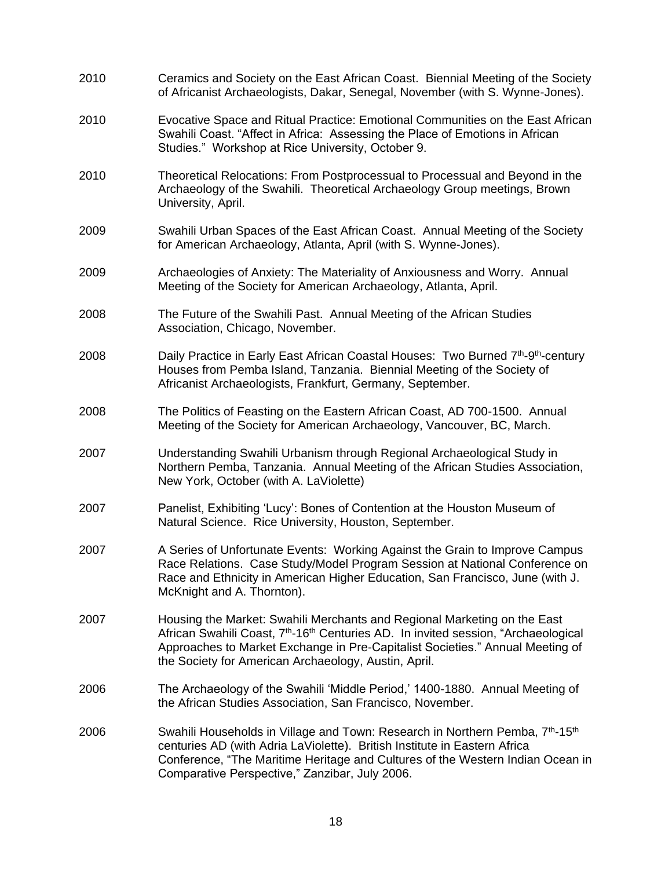| 2010 | Ceramics and Society on the East African Coast. Biennial Meeting of the Society<br>of Africanist Archaeologists, Dakar, Senegal, November (with S. Wynne-Jones).                                                                                                                                                                |
|------|---------------------------------------------------------------------------------------------------------------------------------------------------------------------------------------------------------------------------------------------------------------------------------------------------------------------------------|
| 2010 | Evocative Space and Ritual Practice: Emotional Communities on the East African<br>Swahili Coast. "Affect in Africa: Assessing the Place of Emotions in African<br>Studies." Workshop at Rice University, October 9.                                                                                                             |
| 2010 | Theoretical Relocations: From Postprocessual to Processual and Beyond in the<br>Archaeology of the Swahili. Theoretical Archaeology Group meetings, Brown<br>University, April.                                                                                                                                                 |
| 2009 | Swahili Urban Spaces of the East African Coast. Annual Meeting of the Society<br>for American Archaeology, Atlanta, April (with S. Wynne-Jones).                                                                                                                                                                                |
| 2009 | Archaeologies of Anxiety: The Materiality of Anxiousness and Worry. Annual<br>Meeting of the Society for American Archaeology, Atlanta, April.                                                                                                                                                                                  |
| 2008 | The Future of the Swahili Past. Annual Meeting of the African Studies<br>Association, Chicago, November.                                                                                                                                                                                                                        |
| 2008 | Daily Practice in Early East African Coastal Houses: Two Burned 7 <sup>th</sup> -9 <sup>th</sup> -century<br>Houses from Pemba Island, Tanzania. Biennial Meeting of the Society of<br>Africanist Archaeologists, Frankfurt, Germany, September.                                                                                |
| 2008 | The Politics of Feasting on the Eastern African Coast, AD 700-1500. Annual<br>Meeting of the Society for American Archaeology, Vancouver, BC, March.                                                                                                                                                                            |
| 2007 | Understanding Swahili Urbanism through Regional Archaeological Study in<br>Northern Pemba, Tanzania. Annual Meeting of the African Studies Association,<br>New York, October (with A. LaViolette)                                                                                                                               |
| 2007 | Panelist, Exhibiting 'Lucy': Bones of Contention at the Houston Museum of<br>Natural Science. Rice University, Houston, September.                                                                                                                                                                                              |
| 2007 | A Series of Unfortunate Events: Working Against the Grain to Improve Campus<br>Race Relations. Case Study/Model Program Session at National Conference on<br>Race and Ethnicity in American Higher Education, San Francisco, June (with J.<br>McKnight and A. Thornton).                                                        |
| 2007 | Housing the Market: Swahili Merchants and Regional Marketing on the East<br>African Swahili Coast, 7 <sup>th</sup> -16 <sup>th</sup> Centuries AD. In invited session, "Archaeological<br>Approaches to Market Exchange in Pre-Capitalist Societies." Annual Meeting of<br>the Society for American Archaeology, Austin, April. |
| 2006 | The Archaeology of the Swahili 'Middle Period,' 1400-1880. Annual Meeting of<br>the African Studies Association, San Francisco, November.                                                                                                                                                                                       |
| 2006 | Swahili Households in Village and Town: Research in Northern Pemba, 7 <sup>th</sup> -15 <sup>th</sup><br>centuries AD (with Adria LaViolette). British Institute in Eastern Africa<br>Conference, "The Maritime Heritage and Cultures of the Western Indian Ocean in<br>Comparative Perspective," Zanzibar, July 2006.          |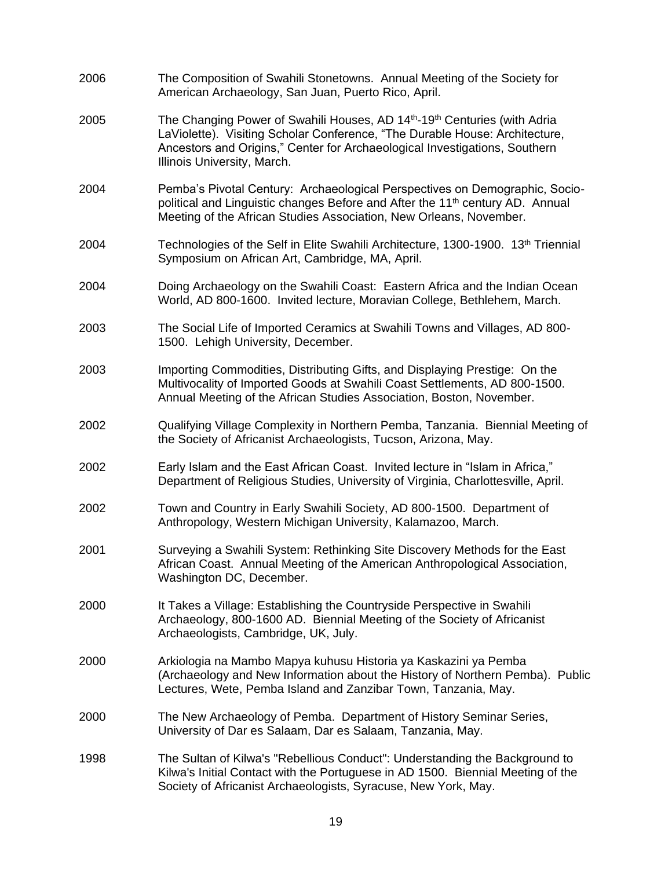2006 The Composition of Swahili Stonetowns. Annual Meeting of the Society for American Archaeology, San Juan, Puerto Rico, April. 2005 The Changing Power of Swahili Houses, AD 14th-19th Centuries (with Adria LaViolette). Visiting Scholar Conference, "The Durable House: Architecture, Ancestors and Origins," Center for Archaeological Investigations, Southern Illinois University, March. 2004 Pemba's Pivotal Century: Archaeological Perspectives on Demographic, Sociopolitical and Linguistic changes Before and After the  $11<sup>th</sup>$  century AD. Annual Meeting of the African Studies Association, New Orleans, November. 2004 Technologies of the Self in Elite Swahili Architecture, 1300-1900. 13th Triennial Symposium on African Art, Cambridge, MA, April. 2004 Doing Archaeology on the Swahili Coast: Eastern Africa and the Indian Ocean World, AD 800-1600. Invited lecture, Moravian College, Bethlehem, March. 2003 The Social Life of Imported Ceramics at Swahili Towns and Villages, AD 800- 1500. Lehigh University, December. 2003 Importing Commodities, Distributing Gifts, and Displaying Prestige: On the Multivocality of Imported Goods at Swahili Coast Settlements, AD 800-1500. Annual Meeting of the African Studies Association, Boston, November. 2002 Qualifying Village Complexity in Northern Pemba, Tanzania. Biennial Meeting of the Society of Africanist Archaeologists, Tucson, Arizona, May. 2002 Early Islam and the East African Coast. Invited lecture in "Islam in Africa," Department of Religious Studies, University of Virginia, Charlottesville, April. 2002 Town and Country in Early Swahili Society, AD 800-1500. Department of Anthropology, Western Michigan University, Kalamazoo, March. 2001 Surveying a Swahili System: Rethinking Site Discovery Methods for the East African Coast. Annual Meeting of the American Anthropological Association, Washington DC, December. 2000 It Takes a Village: Establishing the Countryside Perspective in Swahili Archaeology, 800-1600 AD. Biennial Meeting of the Society of Africanist Archaeologists, Cambridge, UK, July. 2000 Arkiologia na Mambo Mapya kuhusu Historia ya Kaskazini ya Pemba (Archaeology and New Information about the History of Northern Pemba). Public Lectures, Wete, Pemba Island and Zanzibar Town, Tanzania, May. 2000 The New Archaeology of Pemba. Department of History Seminar Series, University of Dar es Salaam, Dar es Salaam, Tanzania, May. 1998 The Sultan of Kilwa's "Rebellious Conduct": Understanding the Background to Kilwa's Initial Contact with the Portuguese in AD 1500. Biennial Meeting of the Society of Africanist Archaeologists, Syracuse, New York, May.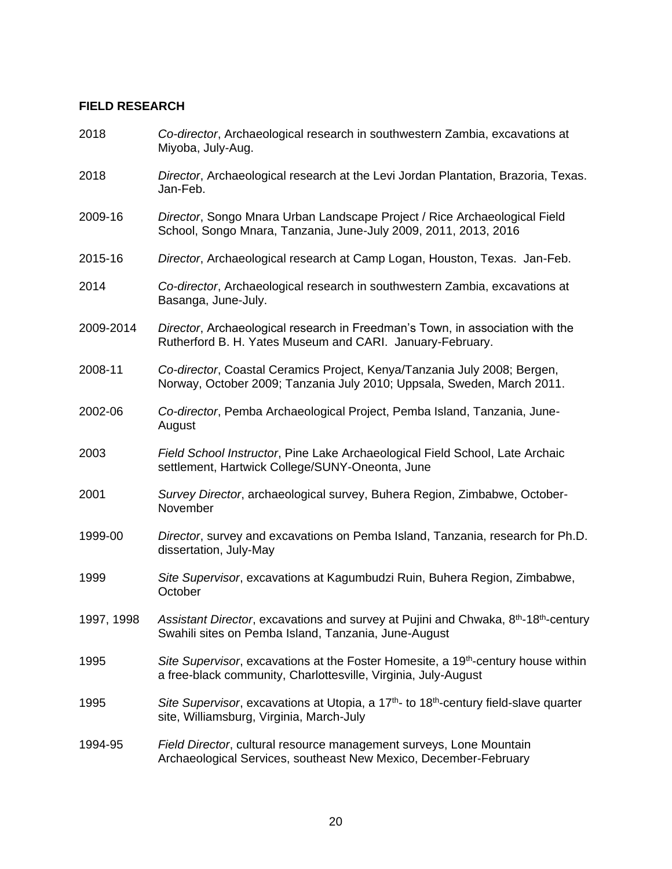# **FIELD RESEARCH**

| 2018       | Co-director, Archaeological research in southwestern Zambia, excavations at<br>Miyoba, July-Aug.                                                                    |
|------------|---------------------------------------------------------------------------------------------------------------------------------------------------------------------|
| 2018       | Director, Archaeological research at the Levi Jordan Plantation, Brazoria, Texas.<br>Jan-Feb.                                                                       |
| 2009-16    | Director, Songo Mnara Urban Landscape Project / Rice Archaeological Field<br>School, Songo Mnara, Tanzania, June-July 2009, 2011, 2013, 2016                        |
| 2015-16    | Director, Archaeological research at Camp Logan, Houston, Texas. Jan-Feb.                                                                                           |
| 2014       | Co-director, Archaeological research in southwestern Zambia, excavations at<br>Basanga, June-July.                                                                  |
| 2009-2014  | Director, Archaeological research in Freedman's Town, in association with the<br>Rutherford B. H. Yates Museum and CARI. January-February.                          |
| 2008-11    | Co-director, Coastal Ceramics Project, Kenya/Tanzania July 2008; Bergen,<br>Norway, October 2009; Tanzania July 2010; Uppsala, Sweden, March 2011.                  |
| 2002-06    | Co-director, Pemba Archaeological Project, Pemba Island, Tanzania, June-<br>August                                                                                  |
| 2003       | Field School Instructor, Pine Lake Archaeological Field School, Late Archaic<br>settlement, Hartwick College/SUNY-Oneonta, June                                     |
| 2001       | Survey Director, archaeological survey, Buhera Region, Zimbabwe, October-<br>November                                                                               |
| 1999-00    | Director, survey and excavations on Pemba Island, Tanzania, research for Ph.D.<br>dissertation, July-May                                                            |
| 1999       | Site Supervisor, excavations at Kagumbudzi Ruin, Buhera Region, Zimbabwe,<br>October                                                                                |
| 1997, 1998 | Assistant Director, excavations and survey at Pujini and Chwaka, 8 <sup>th</sup> -18 <sup>th</sup> -century<br>Swahili sites on Pemba Island, Tanzania, June-August |
| 1995       | Site Supervisor, excavations at the Foster Homesite, a 19 <sup>th</sup> -century house within<br>a free-black community, Charlottesville, Virginia, July-August     |
| 1995       | Site Supervisor, excavations at Utopia, a 17 <sup>th</sup> - to 18 <sup>th</sup> -century field-slave quarter<br>site, Williamsburg, Virginia, March-July           |
| 1994-95    | Field Director, cultural resource management surveys, Lone Mountain<br>Archaeological Services, southeast New Mexico, December-February                             |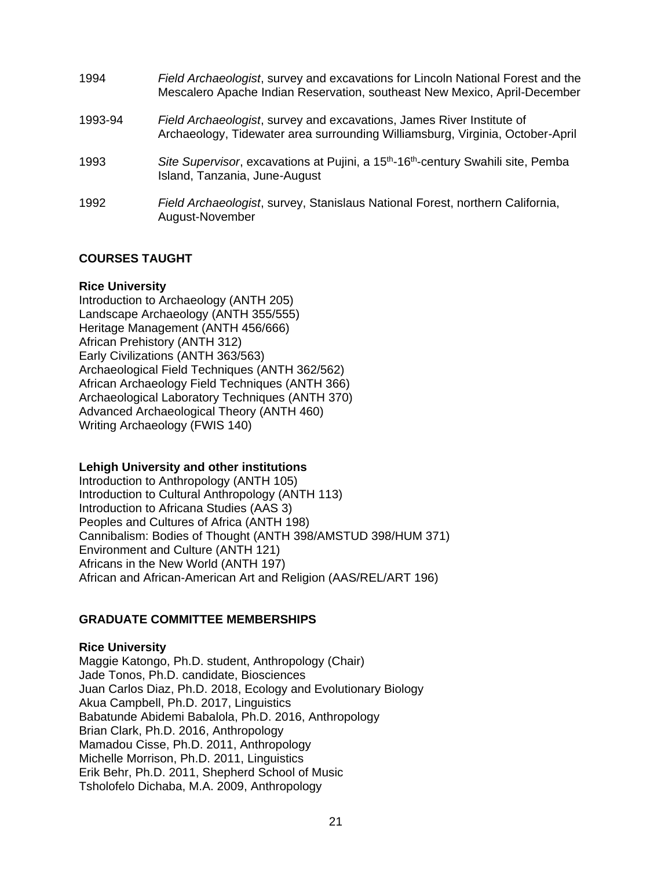| 1994    | Field Archaeologist, survey and excavations for Lincoln National Forest and the<br>Mescalero Apache Indian Reservation, southeast New Mexico, April-December |
|---------|--------------------------------------------------------------------------------------------------------------------------------------------------------------|
| 1993-94 | Field Archaeologist, survey and excavations, James River Institute of<br>Archaeology, Tidewater area surrounding Williamsburg, Virginia, October-April       |
| 1993    | Site Supervisor, excavations at Pujini, a 15 <sup>th</sup> -16 <sup>th</sup> -century Swahili site, Pemba<br>Island, Tanzania, June-August                   |
| 1992    | Field Archaeologist, survey, Stanislaus National Forest, northern California,<br>August-November                                                             |

# **COURSES TAUGHT**

### **Rice University**

Introduction to Archaeology (ANTH 205) Landscape Archaeology (ANTH 355/555) Heritage Management (ANTH 456/666) African Prehistory (ANTH 312) Early Civilizations (ANTH 363/563) Archaeological Field Techniques (ANTH 362/562) African Archaeology Field Techniques (ANTH 366) Archaeological Laboratory Techniques (ANTH 370) Advanced Archaeological Theory (ANTH 460) Writing Archaeology (FWIS 140)

# **Lehigh University and other institutions**

Introduction to Anthropology (ANTH 105) Introduction to Cultural Anthropology (ANTH 113) Introduction to Africana Studies (AAS 3) Peoples and Cultures of Africa (ANTH 198) Cannibalism: Bodies of Thought (ANTH 398/AMSTUD 398/HUM 371) Environment and Culture (ANTH 121) Africans in the New World (ANTH 197) African and African-American Art and Religion (AAS/REL/ART 196)

# **GRADUATE COMMITTEE MEMBERSHIPS**

# **Rice University**

Maggie Katongo, Ph.D. student, Anthropology (Chair) Jade Tonos, Ph.D. candidate, Biosciences Juan Carlos Diaz, Ph.D. 2018, Ecology and Evolutionary Biology Akua Campbell, Ph.D. 2017, Linguistics Babatunde Abidemi Babalola, Ph.D. 2016, Anthropology Brian Clark, Ph.D. 2016, Anthropology Mamadou Cisse, Ph.D. 2011, Anthropology Michelle Morrison, Ph.D. 2011, Linguistics Erik Behr, Ph.D. 2011, Shepherd School of Music Tsholofelo Dichaba, M.A. 2009, Anthropology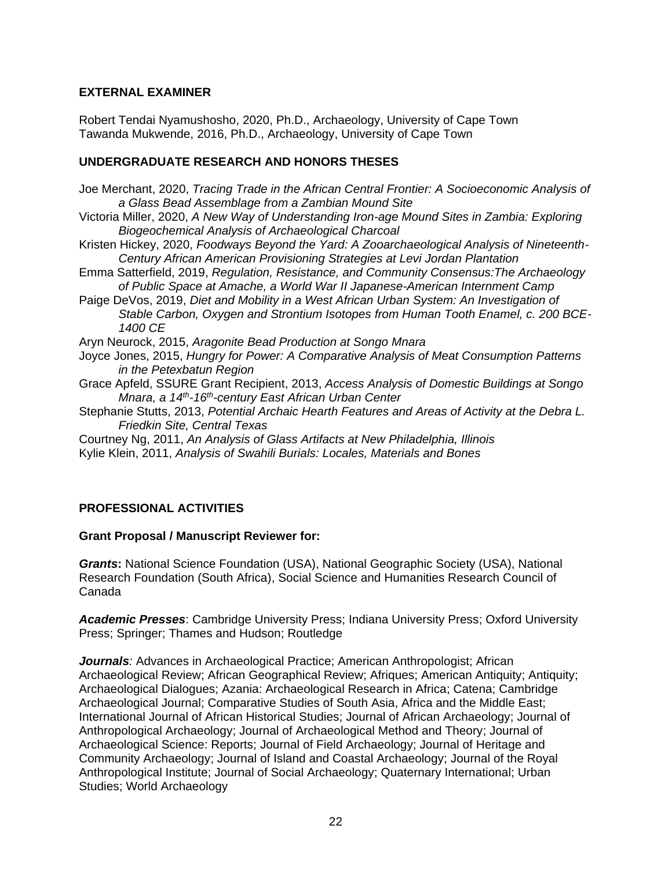# **EXTERNAL EXAMINER**

Robert Tendai Nyamushosho, 2020, Ph.D., Archaeology, University of Cape Town Tawanda Mukwende, 2016, Ph.D., Archaeology, University of Cape Town

# **UNDERGRADUATE RESEARCH AND HONORS THESES**

- Joe Merchant, 2020, *Tracing Trade in the African Central Frontier: A Socioeconomic Analysis of a Glass Bead Assemblage from a Zambian Mound Site*
- Victoria Miller, 2020, *A New Way of Understanding Iron-age Mound Sites in Zambia: Exploring Biogeochemical Analysis of Archaeological Charcoal*
- Kristen Hickey, 2020, *Foodways Beyond the Yard: A Zooarchaeological Analysis of Nineteenth-Century African American Provisioning Strategies at Levi Jordan Plantation*
- Emma Satterfield, 2019, *Regulation, Resistance, and Community Consensus:The Archaeology of Public Space at Amache, a World War II Japanese-American Internment Camp*
- Paige DeVos, 2019, *Diet and Mobility in a West African Urban System: An Investigation of Stable Carbon, Oxygen and Strontium Isotopes from Human Tooth Enamel, c. 200 BCE-1400 CE*
- Aryn Neurock, 2015, *Aragonite Bead Production at Songo Mnara*
- Joyce Jones, 2015, *Hungry for Power: A Comparative Analysis of Meat Consumption Patterns in the Petexbatun Region*
- Grace Apfeld, SSURE Grant Recipient, 2013, *Access Analysis of Domestic Buildings at Songo Mnara, a 14th-16th-century East African Urban Center*
- Stephanie Stutts, 2013, *Potential Archaic Hearth Features and Areas of Activity at the Debra L. Friedkin Site, Central Texas*
- Courtney Ng, 2011, *An Analysis of Glass Artifacts at New Philadelphia, Illinois* Kylie Klein, 2011, *Analysis of Swahili Burials: Locales, Materials and Bones*

# **PROFESSIONAL ACTIVITIES**

# **Grant Proposal / Manuscript Reviewer for:**

*Grants***:** National Science Foundation (USA), National Geographic Society (USA), National Research Foundation (South Africa), Social Science and Humanities Research Council of Canada

*Academic Presses*: Cambridge University Press; Indiana University Press; Oxford University Press; Springer; Thames and Hudson; Routledge

*Journals*: Advances in Archaeological Practice; American Anthropologist; African Archaeological Review; African Geographical Review; Afriques; American Antiquity; Antiquity; Archaeological Dialogues; Azania: Archaeological Research in Africa; Catena; Cambridge Archaeological Journal; Comparative Studies of South Asia, Africa and the Middle East; International Journal of African Historical Studies; Journal of African Archaeology; Journal of Anthropological Archaeology; Journal of Archaeological Method and Theory; Journal of Archaeological Science: Reports; Journal of Field Archaeology; Journal of Heritage and Community Archaeology; Journal of Island and Coastal Archaeology; Journal of the Royal Anthropological Institute; Journal of Social Archaeology; Quaternary International; Urban Studies; World Archaeology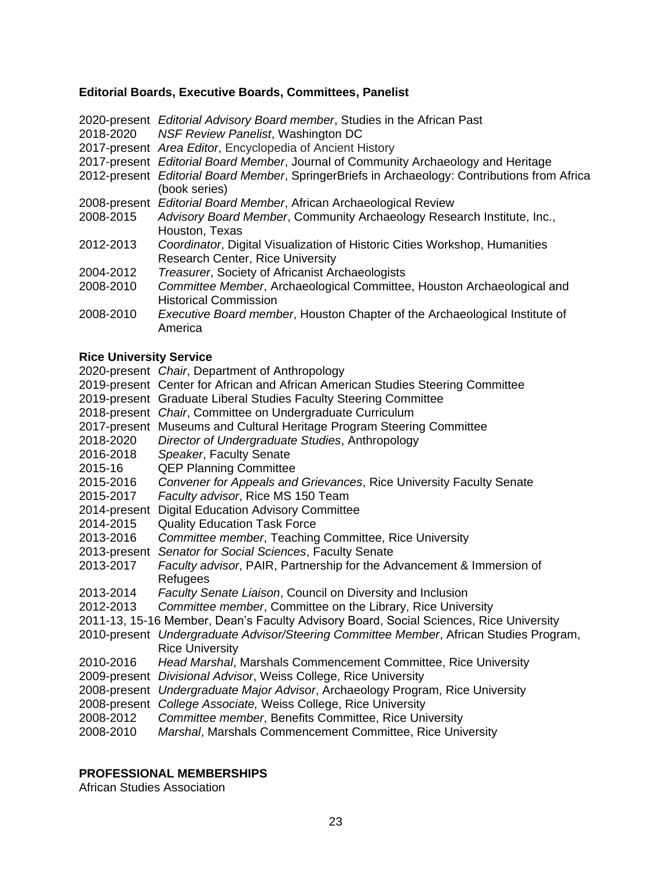# **Editorial Boards, Executive Boards, Committees, Panelist**

|           | 2020-present Editorial Advisory Board member, Studies in the African Past<br>2018-2020 NSF Review Panelist, Washington DC<br>2017-present Area Editor, Encyclopedia of Ancient History |
|-----------|----------------------------------------------------------------------------------------------------------------------------------------------------------------------------------------|
|           | 2017-present Editorial Board Member, Journal of Community Archaeology and Heritage                                                                                                     |
|           | 2012-present Editorial Board Member, SpringerBriefs in Archaeology: Contributions from Africa<br>(book series)                                                                         |
|           | 2008-present Editorial Board Member, African Archaeological Review                                                                                                                     |
| 2008-2015 | Advisory Board Member, Community Archaeology Research Institute, Inc.,<br>Houston, Texas                                                                                               |
| 2012-2013 | Coordinator, Digital Visualization of Historic Cities Workshop, Humanities<br><b>Research Center, Rice University</b>                                                                  |
| 2004-2012 | <b>Treasurer, Society of Africanist Archaeologists</b>                                                                                                                                 |
| 2008-2010 | Committee Member, Archaeological Committee, Houston Archaeological and<br><b>Historical Commission</b>                                                                                 |
| 2008-2010 | <i>Executive Board member, Houston Chapter of the Archaeological Institute of</i><br>America                                                                                           |

### **Rice University Service**

2020-present *Chair*, Department of Anthropology

2019-present Center for African and African American Studies Steering Committee

2019-present Graduate Liberal Studies Faculty Steering Committee

- 2018-present *Chair*, Committee on Undergraduate Curriculum
- 2017-present Museums and Cultural Heritage Program Steering Committee
- 2018-2020 *Director of Undergraduate Studies*, Anthropology
- 2016-2018 *Speaker*, Faculty Senate
- 2015-16 QEP Planning Committee
- 2015-2016 *Convener for Appeals and Grievances*, Rice University Faculty Senate
- 2015-2017 *Faculty advisor*, Rice MS 150 Team
- 2014-present Digital Education Advisory Committee
- 2014-2015 Quality Education Task Force
- 2013-2016 *Committee member*, Teaching Committee, Rice University
- 2013-present *Senator for Social Sciences*, Faculty Senate
- 2013-2017 *Faculty advisor*, PAIR, Partnership for the Advancement & Immersion of **Refugees**
- 2013-2014 *Faculty Senate Liaison*, Council on Diversity and Inclusion
- 2012-2013 *Committee member*, Committee on the Library, Rice University
- 2011-13, 15-16 Member, Dean's Faculty Advisory Board, Social Sciences, Rice University
- 2010-present *Undergraduate Advisor/Steering Committee Member*, African Studies Program, Rice University
- 2010-2016 *Head Marshal*, Marshals Commencement Committee, Rice University
- 2009-present *Divisional Advisor*, Weiss College, Rice University
- 2008-present *Undergraduate Major Advisor*, Archaeology Program, Rice University
- 2008-present *College Associate,* Weiss College, Rice University
- 2008-2012 *Committee member*, Benefits Committee, Rice University
- 2008-2010 *Marshal*, Marshals Commencement Committee, Rice University

# **PROFESSIONAL MEMBERSHIPS**

African Studies Association